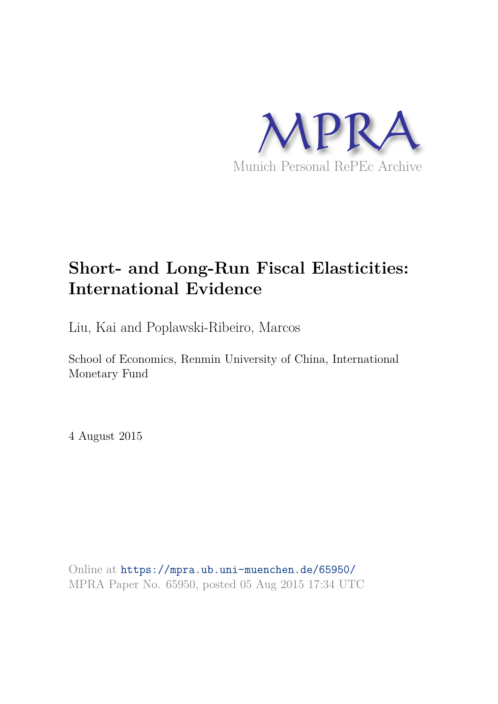

## **Short- and Long-Run Fiscal Elasticities: International Evidence**

Liu, Kai and Poplawski-Ribeiro, Marcos

School of Economics, Renmin University of China, International Monetary Fund

4 August 2015

Online at https://mpra.ub.uni-muenchen.de/65950/ MPRA Paper No. 65950, posted 05 Aug 2015 17:34 UTC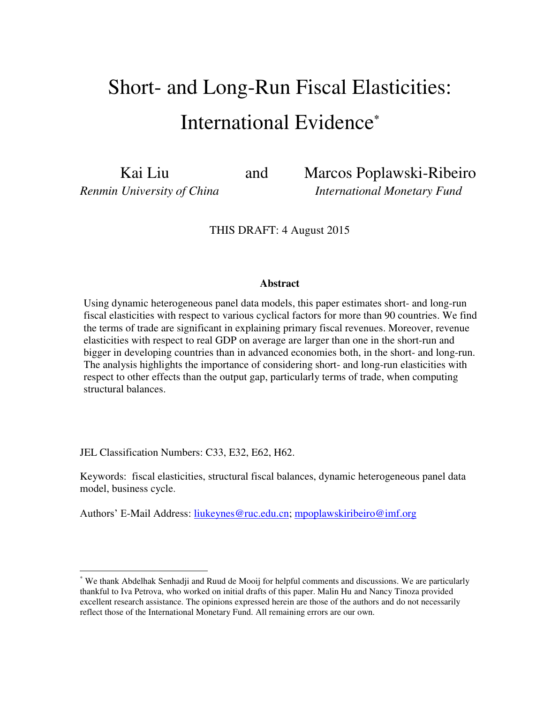# Short- and Long-Run Fiscal Elasticities: International Evidence**\***

Kai Liuand Marcos Poplawski-Ribeiro *Renmin University of China International Monetary Fund*

THIS DRAFT: 4 August 2015

#### **Abstract**

Using dynamic heterogeneous panel data models, this paper estimates short- and long-run fiscal elasticities with respect to various cyclical factors for more than 90 countries. We find the terms of trade are significant in explaining primary fiscal revenues. Moreover, revenue elasticities with respect to real GDP on average are larger than one in the short-run and bigger in developing countries than in advanced economies both, in the short- and long-run. The analysis highlights the importance of considering short- and long-run elasticities with respect to other effects than the output gap, particularly terms of trade, when computing structural balances.

JEL Classification Numbers: C33, E32, E62, H62.

 $\overline{a}$ 

Keywords: fiscal elasticities, structural fiscal balances, dynamic heterogeneous panel data model, business cycle.

Authors' E-Mail Address: [liukeynes@ruc.edu.cn;](mailto:liukeynes@ruc.edu.cn) [mpoplawskiribeiro@imf.org](mailto:mpoplawskiribeiro@imf.org)

<sup>\*</sup> We thank Abdelhak Senhadji and Ruud de Mooij for helpful comments and discussions. We are particularly thankful to Iva Petrova, who worked on initial drafts of this paper. Malin Hu and Nancy Tinoza provided excellent research assistance. The opinions expressed herein are those of the authors and do not necessarily reflect those of the International Monetary Fund. All remaining errors are our own.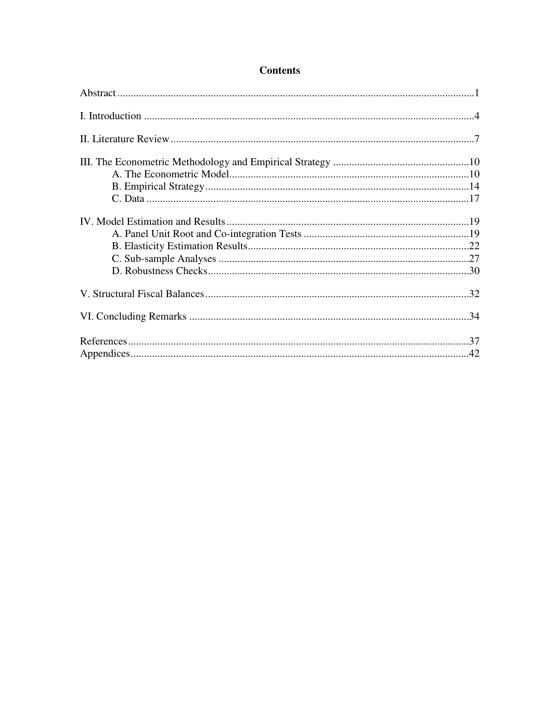## **Contents**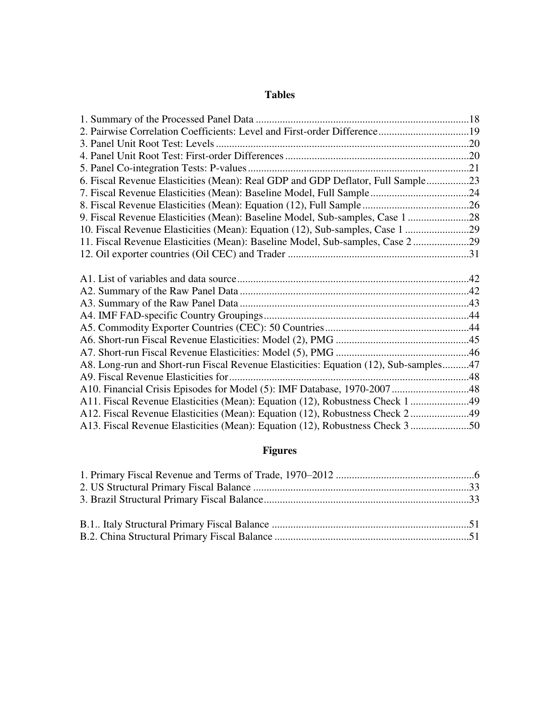## **Tables**

| 6. Fiscal Revenue Elasticities (Mean): Real GDP and GDP Deflator, Full Sample23      |  |
|--------------------------------------------------------------------------------------|--|
|                                                                                      |  |
|                                                                                      |  |
| 9. Fiscal Revenue Elasticities (Mean): Baseline Model, Sub-samples, Case 1 28        |  |
| 10. Fiscal Revenue Elasticities (Mean): Equation (12), Sub-samples, Case 1 29        |  |
| 11. Fiscal Revenue Elasticities (Mean): Baseline Model, Sub-samples, Case 2 29       |  |
|                                                                                      |  |
|                                                                                      |  |
|                                                                                      |  |
|                                                                                      |  |
|                                                                                      |  |
|                                                                                      |  |
|                                                                                      |  |
|                                                                                      |  |
|                                                                                      |  |
|                                                                                      |  |
| A8. Long-run and Short-run Fiscal Revenue Elasticities: Equation (12), Sub-samples47 |  |
|                                                                                      |  |
| A10. Financial Crisis Episodes for Model (5): IMF Database, 1970-200748              |  |
| A11. Fiscal Revenue Elasticities (Mean): Equation (12), Robustness Check 149         |  |
| A12. Fiscal Revenue Elasticities (Mean): Equation (12), Robustness Check 249         |  |

## **Figures**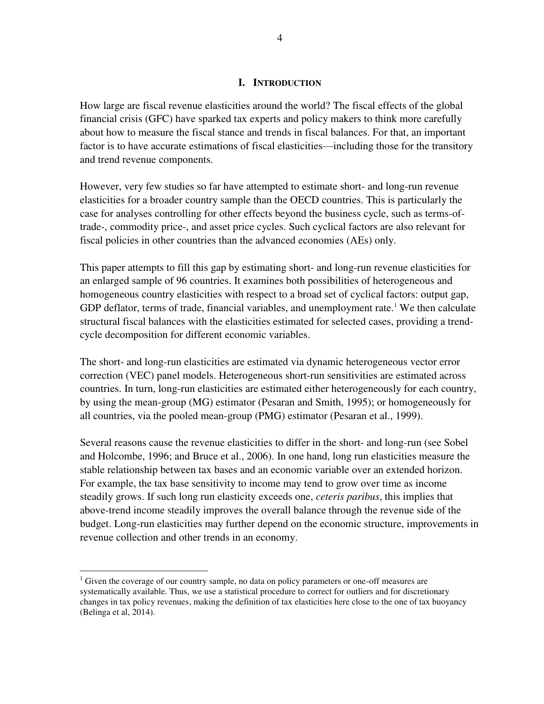#### **I. INTRODUCTION**

How large are fiscal revenue elasticities around the world? The fiscal effects of the global financial crisis (GFC) have sparked tax experts and policy makers to think more carefully about how to measure the fiscal stance and trends in fiscal balances. For that, an important factor is to have accurate estimations of fiscal elasticities—including those for the transitory and trend revenue components.

However, very few studies so far have attempted to estimate short- and long-run revenue elasticities for a broader country sample than the OECD countries. This is particularly the case for analyses controlling for other effects beyond the business cycle, such as terms-oftrade-, commodity price-, and asset price cycles. Such cyclical factors are also relevant for fiscal policies in other countries than the advanced economies (AEs) only.

This paper attempts to fill this gap by estimating short- and long-run revenue elasticities for an enlarged sample of 96 countries. It examines both possibilities of heterogeneous and homogeneous country elasticities with respect to a broad set of cyclical factors: output gap, GDP deflator, terms of trade, financial variables, and unemployment rate.<sup>1</sup> We then calculate structural fiscal balances with the elasticities estimated for selected cases, providing a trendcycle decomposition for different economic variables.

The short- and long-run elasticities are estimated via dynamic heterogeneous vector error correction (VEC) panel models. Heterogeneous short-run sensitivities are estimated across countries. In turn, long-run elasticities are estimated either heterogeneously for each country, by using the mean-group (MG) estimator (Pesaran and Smith, 1995); or homogeneously for all countries, via the pooled mean-group (PMG) estimator (Pesaran et al., 1999).

Several reasons cause the revenue elasticities to differ in the short- and long-run (see Sobel and Holcombe, 1996; and Bruce et al., 2006). In one hand, long run elasticities measure the stable relationship between tax bases and an economic variable over an extended horizon. For example, the tax base sensitivity to income may tend to grow over time as income steadily grows. If such long run elasticity exceeds one, *ceteris paribus*, this implies that above-trend income steadily improves the overall balance through the revenue side of the budget. Long-run elasticities may further depend on the economic structure, improvements in revenue collection and other trends in an economy.

<sup>&</sup>lt;sup>1</sup> Given the coverage of our country sample, no data on policy parameters or one-off measures are systematically available. Thus, we use a statistical procedure to correct for outliers and for discretionary changes in tax policy revenues, making the definition of tax elasticities here close to the one of tax buoyancy (Belinga et al, 2014).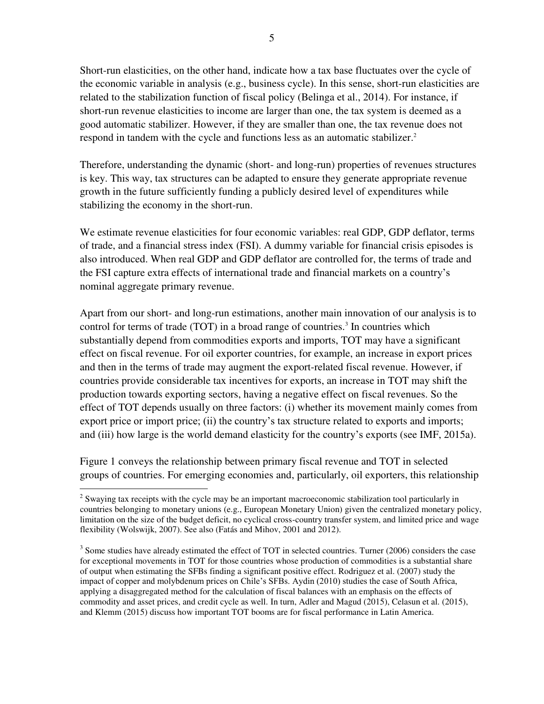Short-run elasticities, on the other hand, indicate how a tax base fluctuates over the cycle of the economic variable in analysis (e.g., business cycle). In this sense, short-run elasticities are related to the stabilization function of fiscal policy (Belinga et al., 2014). For instance, if short-run revenue elasticities to income are larger than one, the tax system is deemed as a good automatic stabilizer. However, if they are smaller than one, the tax revenue does not respond in tandem with the cycle and functions less as an automatic stabilizer.<sup>2</sup>

Therefore, understanding the dynamic (short- and long-run) properties of revenues structures is key. This way, tax structures can be adapted to ensure they generate appropriate revenue growth in the future sufficiently funding a publicly desired level of expenditures while stabilizing the economy in the short-run.

We estimate revenue elasticities for four economic variables: real GDP, GDP deflator, terms of trade, and a financial stress index (FSI). A dummy variable for financial crisis episodes is also introduced. When real GDP and GDP deflator are controlled for, the terms of trade and the FSI capture extra effects of international trade and financial markets on a country's nominal aggregate primary revenue.

Apart from our short- and long-run estimations, another main innovation of our analysis is to control for terms of trade (TOT) in a broad range of countries.<sup>3</sup> In countries which substantially depend from commodities exports and imports, TOT may have a significant effect on fiscal revenue. For oil exporter countries, for example, an increase in export prices and then in the terms of trade may augment the export-related fiscal revenue. However, if countries provide considerable tax incentives for exports, an increase in TOT may shift the production towards exporting sectors, having a negative effect on fiscal revenues. So the effect of TOT depends usually on three factors: (i) whether its movement mainly comes from export price or import price; (ii) the country's tax structure related to exports and imports; and (iii) how large is the world demand elasticity for the country's exports (see IMF, 2015a).

Figure 1 conveys the relationship between primary fiscal revenue and TOT in selected groups of countries. For emerging economies and, particularly, oil exporters, this relationship

<sup>&</sup>lt;sup>2</sup> Swaying tax receipts with the cycle may be an important macroeconomic stabilization tool particularly in countries belonging to monetary unions (e.g., European Monetary Union) given the centralized monetary policy, limitation on the size of the budget deficit, no cyclical cross-country transfer system, and limited price and wage flexibility (Wolswijk, 2007). See also (Fatás and Mihov, 2001 and 2012).

 $3$  Some studies have already estimated the effect of TOT in selected countries. Turner (2006) considers the case for exceptional movements in TOT for those countries whose production of commodities is a substantial share of output when estimating the SFBs finding a significant positive effect. Rodriguez et al. (2007) study the impact of copper and molybdenum prices on Chile's SFBs. Aydin (2010) studies the case of South Africa, applying a disaggregated method for the calculation of fiscal balances with an emphasis on the effects of commodity and asset prices, and credit cycle as well. In turn, Adler and Magud (2015), Celasun et al. (2015), and Klemm (2015) discuss how important TOT booms are for fiscal performance in Latin America.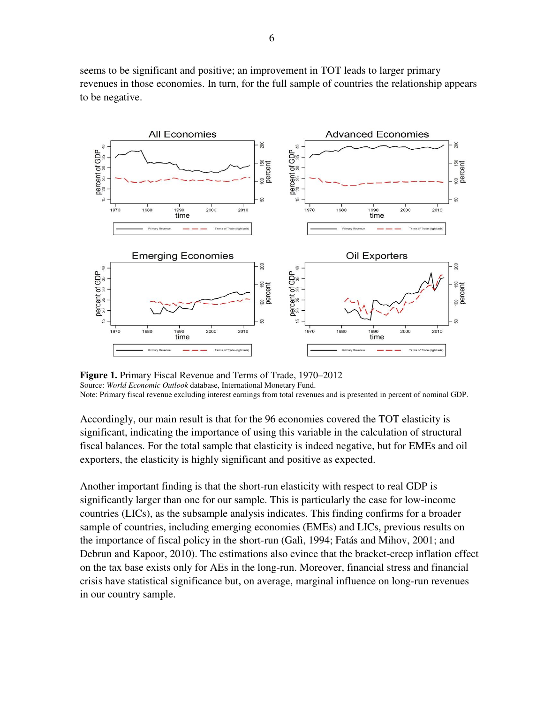seems to be significant and positive; an improvement in TOT leads to larger primary revenues in those economies. In turn, for the full sample of countries the relationship appears to be negative.



**Figure 1.** Primary Fiscal Revenue and Terms of Trade, 1970–2012 Source: *World Economic Outlook* database, International Monetary Fund. Note: Primary fiscal revenue excluding interest earnings from total revenues and is presented in percent of nominal GDP.

Accordingly, our main result is that for the 96 economies covered the TOT elasticity is significant, indicating the importance of using this variable in the calculation of structural fiscal balances. For the total sample that elasticity is indeed negative, but for EMEs and oil exporters, the elasticity is highly significant and positive as expected.

Another important finding is that the short-run elasticity with respect to real GDP is significantly larger than one for our sample. This is particularly the case for low-income countries (LICs), as the subsample analysis indicates. This finding confirms for a broader sample of countries, including emerging economies (EMEs) and LICs, previous results on the importance of fiscal policy in the short-run (Galì, 1994; Fatás and Mihov, 2001; and Debrun and Kapoor, 2010). The estimations also evince that the bracket-creep inflation effect on the tax base exists only for AEs in the long-run. Moreover, financial stress and financial crisis have statistical significance but, on average, marginal influence on long-run revenues in our country sample.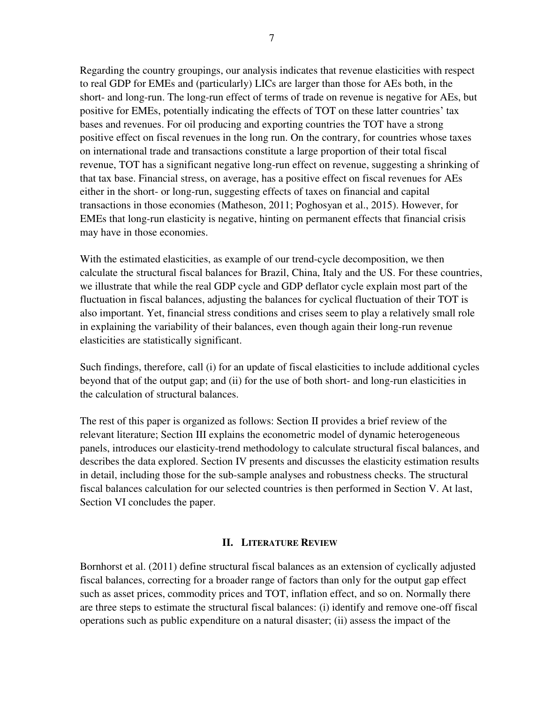Regarding the country groupings, our analysis indicates that revenue elasticities with respect to real GDP for EMEs and (particularly) LICs are larger than those for AEs both, in the short- and long-run. The long-run effect of terms of trade on revenue is negative for AEs, but positive for EMEs, potentially indicating the effects of TOT on these latter countries' tax bases and revenues. For oil producing and exporting countries the TOT have a strong positive effect on fiscal revenues in the long run. On the contrary, for countries whose taxes on international trade and transactions constitute a large proportion of their total fiscal revenue, TOT has a significant negative long-run effect on revenue, suggesting a shrinking of that tax base. Financial stress, on average, has a positive effect on fiscal revenues for AEs either in the short- or long-run, suggesting effects of taxes on financial and capital transactions in those economies (Matheson, 2011; Poghosyan et al., 2015). However, for EMEs that long-run elasticity is negative, hinting on permanent effects that financial crisis may have in those economies.

With the estimated elasticities, as example of our trend-cycle decomposition, we then calculate the structural fiscal balances for Brazil, China, Italy and the US. For these countries, we illustrate that while the real GDP cycle and GDP deflator cycle explain most part of the fluctuation in fiscal balances, adjusting the balances for cyclical fluctuation of their TOT is also important. Yet, financial stress conditions and crises seem to play a relatively small role in explaining the variability of their balances, even though again their long-run revenue elasticities are statistically significant.

Such findings, therefore, call (i) for an update of fiscal elasticities to include additional cycles beyond that of the output gap; and (ii) for the use of both short- and long-run elasticities in the calculation of structural balances.

The rest of this paper is organized as follows: Section II provides a brief review of the relevant literature; Section III explains the econometric model of dynamic heterogeneous panels, introduces our elasticity-trend methodology to calculate structural fiscal balances, and describes the data explored. Section IV presents and discusses the elasticity estimation results in detail, including those for the sub-sample analyses and robustness checks. The structural fiscal balances calculation for our selected countries is then performed in Section V. At last, Section VI concludes the paper.

#### **II. LITERATURE REVIEW**

Bornhorst et al. (2011) define structural fiscal balances as an extension of cyclically adjusted fiscal balances, correcting for a broader range of factors than only for the output gap effect such as asset prices, commodity prices and TOT, inflation effect, and so on. Normally there are three steps to estimate the structural fiscal balances: (i) identify and remove one-off fiscal operations such as public expenditure on a natural disaster; (ii) assess the impact of the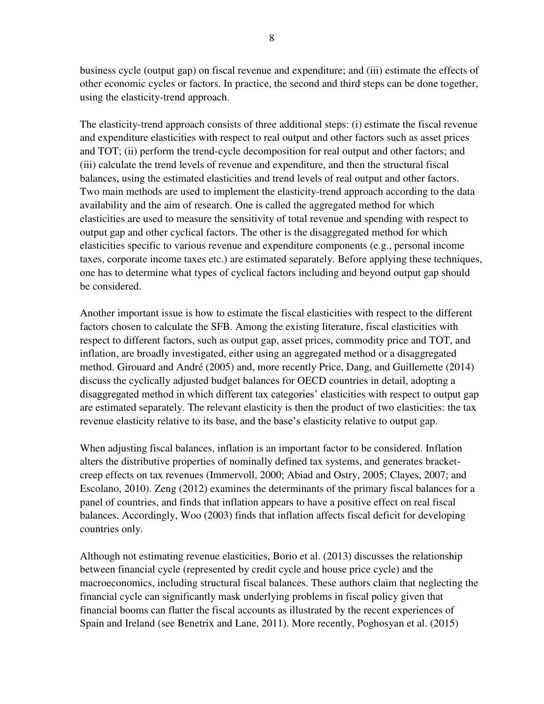business cycle (output gap) on fiscal revenue and expenditure; and (iii) estimate the effects of other economic cycles or factors. In practice, the second and third steps can be done together, using the elasticity-trend approach.

The elasticity-trend approach consists of three additional steps: (i) estimate the fiscal revenue and expenditure elasticities with respect to real output and other factors such as asset prices and TOT; (ii) perform the trend-cycle decomposition for real output and other factors; and (iii) calculate the trend levels of revenue and expenditure, and then the structural fiscal balances, using the estimated elasticities and trend levels of real output and other factors. Two main methods are used to implement the elasticity-trend approach according to the data availability and the aim of research. One is called the aggregated method for which elasticities are used to measure the sensitivity of total revenue and spending with respect to output gap and other cyclical factors. The other is the disaggregated method for which elasticities specific to various revenue and expenditure components (e.g., personal income taxes, corporate income taxes etc.) are estimated separately. Before applying these techniques, one has to determine what types of cyclical factors including and beyond output gap should be considered.

Another important issue is how to estimate the fiscal elasticities with respect to the different factors chosen to calculate the SFB. Among the existing literature, fiscal elasticities with respect to different factors, such as output gap, asset prices, commodity price and TOT, and inflation, are broadly investigated, either using an aggregated method or a disaggregated method. Girouard and André (2005) and, more recently Price, Dang, and Guillemette (2014) discuss the cyclically adjusted budget balances for OECD countries in detail, adopting a disaggregated method in which different tax categories' elasticities with respect to output gap are estimated separately. The relevant elasticity is then the product of two elasticities: the tax revenue elasticity relative to its base, and the base's elasticity relative to output gap.

When adjusting fiscal balances, inflation is an important factor to be considered. Inflation alters the distributive properties of nominally defined tax systems, and generates bracketcreep effects on tax revenues (Immervoll, 2000; Abiad and Ostry, 2005; Clayes, 2007; and Escolano, 2010). Zeng (2012) examines the determinants of the primary fiscal balances for a panel of countries, and finds that inflation appears to have a positive effect on real fiscal balances. Accordingly, Woo (2003) finds that inflation affects fiscal deficit for developing countries only.

Although not estimating revenue elasticities, Borio et al. (2013) discusses the relationship between financial cycle (represented by credit cycle and house price cycle) and the macroeconomics, including structural fiscal balances. These authors claim that neglecting the financial cycle can significantly mask underlying problems in fiscal policy given that financial booms can flatter the fiscal accounts as illustrated by the recent experiences of Spain and Ireland (see Benetrix and Lane, 2011). More recently, Poghosyan et al. (2015)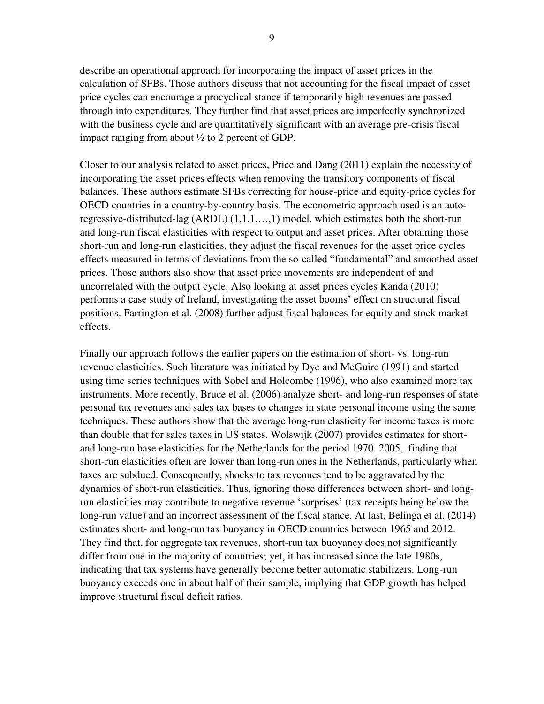describe an operational approach for incorporating the impact of asset prices in the calculation of SFBs. Those authors discuss that not accounting for the fiscal impact of asset price cycles can encourage a procyclical stance if temporarily high revenues are passed through into expenditures. They further find that asset prices are imperfectly synchronized with the business cycle and are quantitatively significant with an average pre-crisis fiscal impact ranging from about ½ to 2 percent of GDP.

Closer to our analysis related to asset prices, Price and Dang (2011) explain the necessity of incorporating the asset prices effects when removing the transitory components of fiscal balances. These authors estimate SFBs correcting for house-price and equity-price cycles for OECD countries in a country-by-country basis. The econometric approach used is an autoregressive-distributed-lag (ARDL) (1,1,1,…,1) model, which estimates both the short-run and long-run fiscal elasticities with respect to output and asset prices. After obtaining those short-run and long-run elasticities, they adjust the fiscal revenues for the asset price cycles effects measured in terms of deviations from the so-called "fundamental" and smoothed asset prices. Those authors also show that asset price movements are independent of and uncorrelated with the output cycle. Also looking at asset prices cycles Kanda (2010) performs a case study of Ireland, investigating the asset booms' effect on structural fiscal positions. Farrington et al. (2008) further adjust fiscal balances for equity and stock market effects.

Finally our approach follows the earlier papers on the estimation of short- vs. long-run revenue elasticities. Such literature was initiated by Dye and McGuire (1991) and started using time series techniques with Sobel and Holcombe (1996), who also examined more tax instruments. More recently, Bruce et al. (2006) analyze short- and long-run responses of state personal tax revenues and sales tax bases to changes in state personal income using the same techniques. These authors show that the average long-run elasticity for income taxes is more than double that for sales taxes in US states. Wolswijk (2007) provides estimates for shortand long-run base elasticities for the Netherlands for the period 1970–2005, finding that short-run elasticities often are lower than long-run ones in the Netherlands, particularly when taxes are subdued. Consequently, shocks to tax revenues tend to be aggravated by the dynamics of short-run elasticities. Thus, ignoring those differences between short- and longrun elasticities may contribute to negative revenue 'surprises' (tax receipts being below the long-run value) and an incorrect assessment of the fiscal stance. At last, Belinga et al. (2014) estimates short- and long-run tax buoyancy in OECD countries between 1965 and 2012. They find that, for aggregate tax revenues, short-run tax buoyancy does not significantly differ from one in the majority of countries; yet, it has increased since the late 1980s, indicating that tax systems have generally become better automatic stabilizers. Long-run buoyancy exceeds one in about half of their sample, implying that GDP growth has helped improve structural fiscal deficit ratios.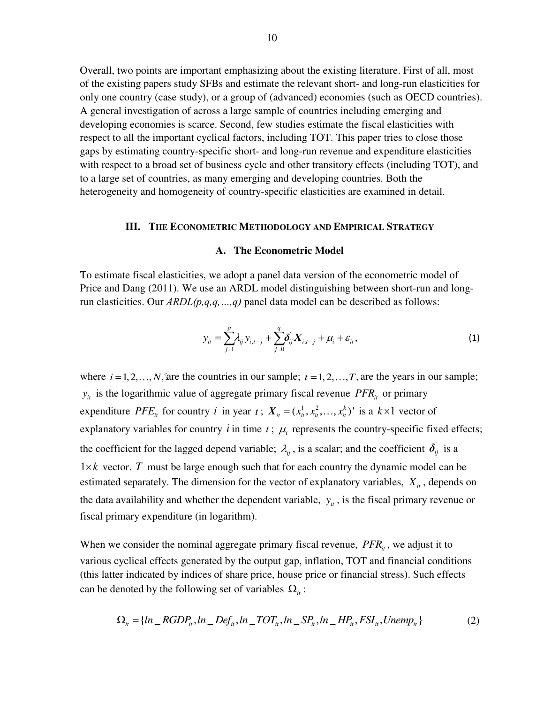Overall, two points are important emphasizing about the existing literature. First of all, most of the existing papers study SFBs and estimate the relevant short- and long-run elasticities for only one country (case study), or a group of (advanced) economies (such as OECD countries). A general investigation of across a large sample of countries including emerging and developing economies is scarce. Second, few studies estimate the fiscal elasticities with respect to all the important cyclical factors, including TOT. This paper tries to close those gaps by estimating country-specific short- and long-run revenue and expenditure elasticities with respect to a broad set of business cycle and other transitory effects (including TOT), and to a large set of countries, as many emerging and developing countries. Both the heterogeneity and homogeneity of country-specific elasticities are examined in detail.

#### **III. THE ECONOMETRIC METHODOLOGY AND EMPIRICAL STRATEGY**

#### **A. The Econometric Model**

To estimate fiscal elasticities, we adopt a panel data version of the econometric model of Price and Dang (2011). We use an ARDL model distinguishing between short-run and longrun elasticities. Our *ARDL(p,q,q,…,q)* panel data model can be described as follows:

$$
y_{it} = \sum_{j=1}^{p} \lambda_{ij} y_{i,t-j} + \sum_{j=0}^{q} \delta_{ij}^{'} X_{i,t-j} + \mu_i + \varepsilon_{it},
$$
\n(1)

where  $i = 1, 2, ..., N$ , are the countries in our sample;  $t = 1, 2, ..., T$ , are the years in our sample;  $y_{it}$  is the logarithmic value of aggregate primary fiscal revenue *PFR<sub>it</sub>* or primary expenditure *PFE<sub>it</sub>* for country *i* in year *t*;  $X_{it} = (x_{it}^1, x_{it}^2, ..., x_{it}^k)$  is a  $k \times 1$  vector of explanatory variables for country  $i$  in time  $t$ ;  $\mu_i$  represents the country-specific fixed effects; the coefficient for the lagged depend variable;  $\lambda_{ij}$ , is a scalar; and the coefficient  $\delta_{ij}$  is a  $1 \times k$  vector. *T* must be large enough such that for each country the dynamic model can be estimated separately. The dimension for the vector of explanatory variables,  $X_{it}$ , depends on the data availability and whether the dependent variable,  $y_i$ , is the fiscal primary revenue or fiscal primary expenditure (in logarithm).

When we consider the nominal aggregate primary fiscal revenue,  $PFR<sub>i</sub>$ , we adjust it to various cyclical effects generated by the output gap, inflation, TOT and financial conditions (this latter indicated by indices of share price, house price or financial stress). Such effects can be denoted by the following set of variables  $\Omega_{it}$ :

$$
\Omega_{it} = \{ ln\_RGDP_{it}, ln\_Def_{it}, ln\_TOT_{it}, ln\_SP_{it}, ln\_HP_{it}, FSI_{it}, Unemp_{it} \}
$$
 (2)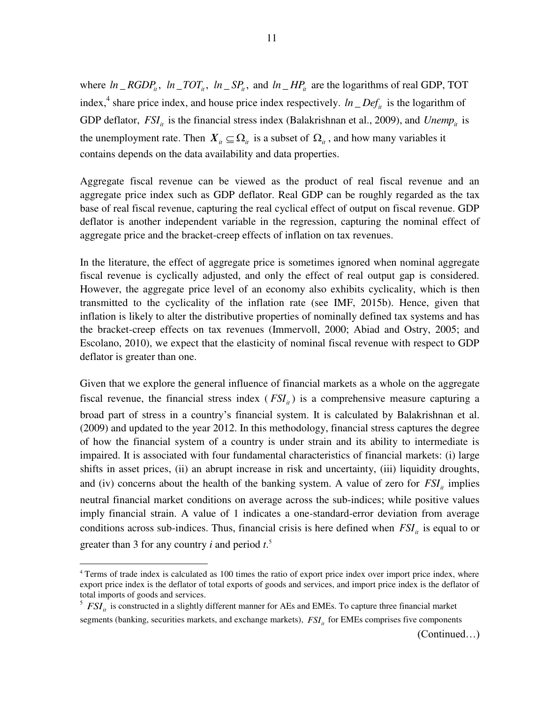where  $ln\_RGDP_i$ ,  $ln\_TOT_i$ ,  $ln\_SP_i$ , and  $ln\_HP_i$  are the logarithms of real GDP, TOT index,<sup>4</sup> share price index, and house price index respectively.  $ln\_Def_{it}$  is the logarithm of GDP deflator,  $FSI<sub>i</sub>$  is the financial stress index (Balakrishnan et al., 2009), and *Unemp*<sub>it</sub> is the unemployment rate. Then  $X_i \subseteq \Omega_i$  is a subset of  $\Omega_i$ , and how many variables it contains depends on the data availability and data properties.

Aggregate fiscal revenue can be viewed as the product of real fiscal revenue and an aggregate price index such as GDP deflator. Real GDP can be roughly regarded as the tax base of real fiscal revenue, capturing the real cyclical effect of output on fiscal revenue. GDP deflator is another independent variable in the regression, capturing the nominal effect of aggregate price and the bracket-creep effects of inflation on tax revenues.

In the literature, the effect of aggregate price is sometimes ignored when nominal aggregate fiscal revenue is cyclically adjusted, and only the effect of real output gap is considered. However, the aggregate price level of an economy also exhibits cyclicality, which is then transmitted to the cyclicality of the inflation rate (see IMF, 2015b). Hence, given that inflation is likely to alter the distributive properties of nominally defined tax systems and has the bracket-creep effects on tax revenues (Immervoll, 2000; Abiad and Ostry, 2005; and Escolano, 2010), we expect that the elasticity of nominal fiscal revenue with respect to GDP deflator is greater than one.

Given that we explore the general influence of financial markets as a whole on the aggregate fiscal revenue, the financial stress index  $(FSI<sub>i</sub>)$  is a comprehensive measure capturing a broad part of stress in a country's financial system. It is calculated by Balakrishnan et al. (2009) and updated to the year 2012. In this methodology, financial stress captures the degree of how the financial system of a country is under strain and its ability to intermediate is impaired. It is associated with four fundamental characteristics of financial markets: (i) large shifts in asset prices, (ii) an abrupt increase in risk and uncertainty, (iii) liquidity droughts, and (iv) concerns about the health of the banking system. A value of zero for  $FSI<sub>i</sub>$  implies neutral financial market conditions on average across the sub-indices; while positive values imply financial strain. A value of 1 indicates a one-standard-error deviation from average conditions across sub-indices. Thus, financial crisis is here defined when  $FSI<sub>it</sub>$  is equal to or greater than 3 for any country *i* and period *t*. 5

<sup>&</sup>lt;sup>4</sup> Terms of trade index is calculated as 100 times the ratio of export price index over import price index, where export price index is the deflator of total exports of goods and services, and import price index is the deflator of total imports of goods and services.

<sup>&</sup>lt;sup>5</sup>  $FSI<sub>it</sub>$  is constructed in a slightly different manner for AEs and EMEs. To capture three financial market

segments (banking, securities markets, and exchange markets),  $FSI<sub>i</sub><sub>i</sub>$  for EMEs comprises five components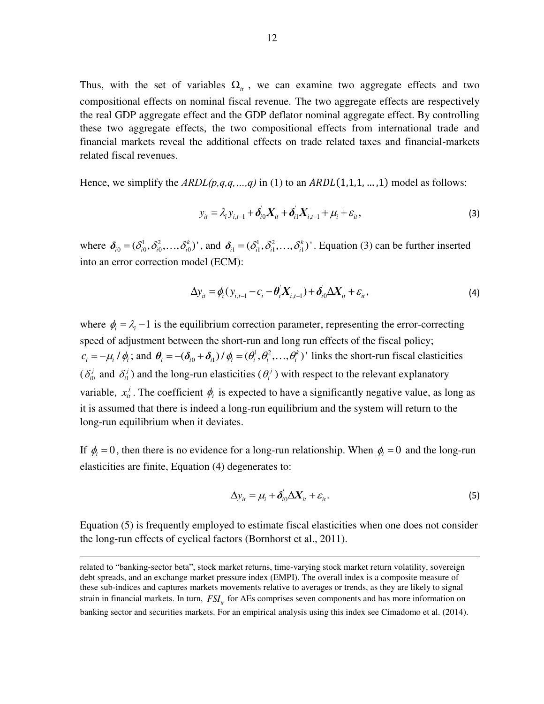Thus, with the set of variables  $\Omega_{it}$ , we can examine two aggregate effects and two compositional effects on nominal fiscal revenue. The two aggregate effects are respectively the real GDP aggregate effect and the GDP deflator nominal aggregate effect. By controlling these two aggregate effects, the two compositional effects from international trade and financial markets reveal the additional effects on trade related taxes and financial-markets related fiscal revenues.

Hence, we simplify the  $ARDL(p,q,q,...,q)$  in (1) to an  $ARDL(1,1,1,...,1)$  model as follows:

$$
y_{it} = \lambda_i y_{i,t-1} + \delta_{i0} X_{it} + \delta_{i1} X_{i,t-1} + \mu_i + \varepsilon_{it},
$$
\n(3)

where  $\delta_{i0} = (\delta_{i0}^1, \delta_{i0}^2, \ldots, \delta_{i0}^k)$ , and  $\delta_{i1} = (\delta_{i1}^1, \delta_{i1}^2, \ldots, \delta_{i1}^k)$ . Equation (3) can be further inserted into an error correction model (ECM):

$$
\Delta y_{it} = \phi_i (y_{i,t-1} - c_i - \theta_i X_{i,t-1}) + \delta_{i0} \Delta X_{it} + \varepsilon_{it},
$$
\n(4)

where  $\phi_i = \lambda_i - 1$  is the equilibrium correction parameter, representing the error-correcting speed of adjustment between the short-run and long run effects of the fiscal policy;  $c_i = -\mu_i / \phi_i$ ; and  $\theta_i = -(\delta_{i0} + \delta_{i1}) / \phi_i = (\theta_i^1, \theta_i^2, ..., \theta_i^k)$ ' links the short-run fiscal elasticities (  $\delta_{i0}^{j}$  $\delta_i^j$  and  $\delta_i^j$ ) and the long-run elasticities ( $\theta_i^j$ ) with respect to the relevant explanatory variable,  $x_i^j$ . The coefficient  $\phi_i$  is expected to have a significantly negative value, as long as it is assumed that there is indeed a long-run equilibrium and the system will return to the long-run equilibrium when it deviates.

If  $\phi_i = 0$ , then there is no evidence for a long-run relationship. When  $\phi_i = 0$  and the long-run elasticities are finite, Equation (4) degenerates to:

$$
\Delta y_{it} = \mu_i + \delta_{i0} \Delta X_{it} + \varepsilon_{it}.
$$
\n(5)

Equation (5) is frequently employed to estimate fiscal elasticities when one does not consider the long-run effects of cyclical factors (Bornhorst et al., 2011).

related to "banking-sector beta", stock market returns, time-varying stock market return volatility, sovereign debt spreads, and an exchange market pressure index (EMPI). The overall index is a composite measure of these sub-indices and captures markets movements relative to averages or trends, as they are likely to signal strain in financial markets. In turn,  $FSI<sub>i</sub>$  for AEs comprises seven components and has more information on banking sector and securities markets. For an empirical analysis using this index see Cimadomo et al. (2014).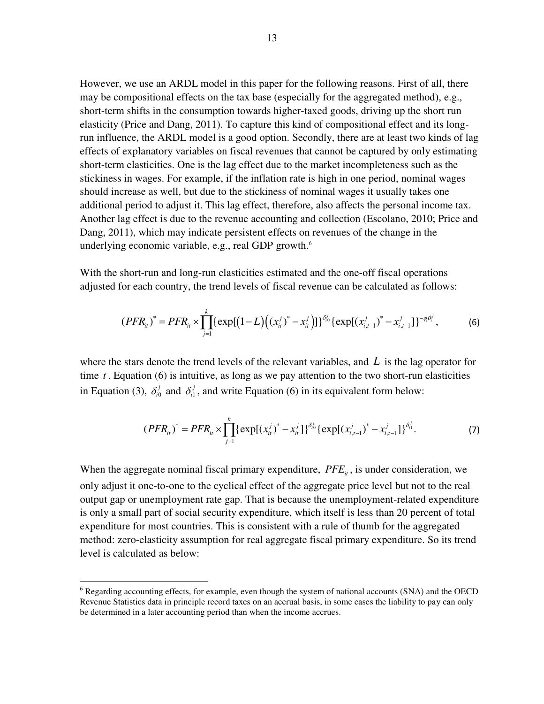However, we use an ARDL model in this paper for the following reasons. First of all, there may be compositional effects on the tax base (especially for the aggregated method), e.g., short-term shifts in the consumption towards higher-taxed goods, driving up the short run elasticity (Price and Dang, 2011). To capture this kind of compositional effect and its longrun influence, the ARDL model is a good option. Secondly, there are at least two kinds of lag effects of explanatory variables on fiscal revenues that cannot be captured by only estimating short-term elasticities. One is the lag effect due to the market incompleteness such as the stickiness in wages. For example, if the inflation rate is high in one period, nominal wages should increase as well, but due to the stickiness of nominal wages it usually takes one additional period to adjust it. This lag effect, therefore, also affects the personal income tax. Another lag effect is due to the revenue accounting and collection (Escolano, 2010; Price and Dang, 2011), which may indicate persistent effects on revenues of the change in the underlying economic variable, e.g., real GDP growth.<sup>6</sup>

With the short-run and long-run elasticities estimated and the one-off fiscal operations adjusted for each country, the trend levels of fiscal revenue can be calculated as follows:

$$
(PFR_{ii})^* = PFR_{ii} \times \prod_{j=1}^k \{ \exp[(1-L)((x_{ii}^j)^* - x_{ii}^j) ] \}^{\delta_{i0}^j} \{ \exp[(x_{i,t-1}^j)^* - x_{i,t-1}^j] \}^{-\phi_i \theta_i^j},
$$
(6)

where the stars denote the trend levels of the relevant variables, and *L* is the lag operator for time *t* . Equation (6) is intuitive, as long as we pay attention to the two short-run elasticities in Equation (3),  $\delta_{i0}^j$  and  $\delta_{i1}^j$ , and write Equation (6) in its equivalent form below:

$$
(PFR_{ii})^* = PFR_{ii} \times \prod_{j=1}^k \{ \exp[(x_{ii}^j)^* - x_{ii}^j] \}^{\delta_{i0}^j} \{ \exp[(x_{i,t-1}^j)^* - x_{i,t-1}^j] \}^{\delta_{i1}^j}.
$$
 (7)

When the aggregate nominal fiscal primary expenditure,  $PFE_i$ , is under consideration, we only adjust it one-to-one to the cyclical effect of the aggregate price level but not to the real output gap or unemployment rate gap. That is because the unemployment-related expenditure is only a small part of social security expenditure, which itself is less than 20 percent of total expenditure for most countries. This is consistent with a rule of thumb for the aggregated method: zero-elasticity assumption for real aggregate fiscal primary expenditure. So its trend level is calculated as below:

<sup>&</sup>lt;sup>6</sup> Regarding accounting effects, for example, even though the system of national accounts (SNA) and the OECD Revenue Statistics data in principle record taxes on an accrual basis, in some cases the liability to pay can only be determined in a later accounting period than when the income accrues.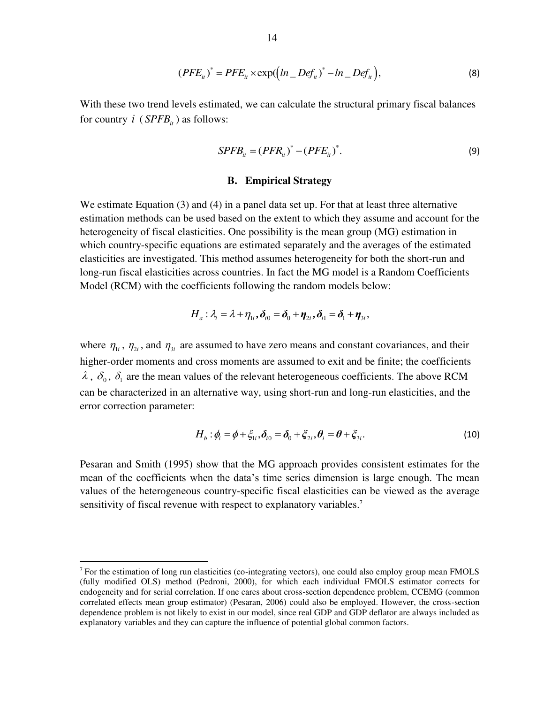$$
(PFE_{ii})^* = PFE_{ii} \times \exp(\left(ln\_Def_{ii}\right)^* - ln\_Def_{ii}\right),\tag{8}
$$

With these two trend levels estimated, we can calculate the structural primary fiscal balances for country  $i$  ( $S PFB_{it}$ ) as follows:

$$
SPFB_{it} = (PFR_{it})^* - (PFE_{it})^*.
$$
\n(9)

#### **B. Empirical Strategy**

We estimate Equation (3) and (4) in a panel data set up. For that at least three alternative estimation methods can be used based on the extent to which they assume and account for the heterogeneity of fiscal elasticities. One possibility is the mean group (MG) estimation in which country-specific equations are estimated separately and the averages of the estimated elasticities are investigated. This method assumes heterogeneity for both the short-run and long-run fiscal elasticities across countries. In fact the MG model is a Random Coefficients Model (RCM) with the coefficients following the random models below:

$$
H_a: \lambda_i = \lambda + \eta_{1i}, \delta_{i0} = \delta_0 + \eta_{2i}, \delta_{i1} = \delta_1 + \eta_{3i},
$$

where  $\eta_{1i}$ ,  $\eta_{2i}$ , and  $\eta_{3i}$  are assumed to have zero means and constant covariances, and their higher-order moments and cross moments are assumed to exit and be finite; the coefficients  $\lambda$ ,  $\delta_0$ ,  $\delta_1$  are the mean values of the relevant heterogeneous coefficients. The above RCM can be characterized in an alternative way, using short-run and long-run elasticities, and the error correction parameter:

$$
H_b: \phi_i = \phi + \xi_{1i}, \delta_{i0} = \delta_0 + \xi_{2i}, \theta_i = \theta + \xi_{3i}.
$$
\n(10)

Pesaran and Smith (1995) show that the MG approach provides consistent estimates for the mean of the coefficients when the data's time series dimension is large enough. The mean values of the heterogeneous country-specific fiscal elasticities can be viewed as the average sensitivity of fiscal revenue with respect to explanatory variables.<sup>7</sup>

 $7$  For the estimation of long run elasticities (co-integrating vectors), one could also employ group mean FMOLS (fully modified OLS) method (Pedroni, 2000), for which each individual FMOLS estimator corrects for endogeneity and for serial correlation. If one cares about cross-section dependence problem, CCEMG (common correlated effects mean group estimator) (Pesaran, 2006) could also be employed. However, the cross-section dependence problem is not likely to exist in our model, since real GDP and GDP deflator are always included as explanatory variables and they can capture the influence of potential global common factors.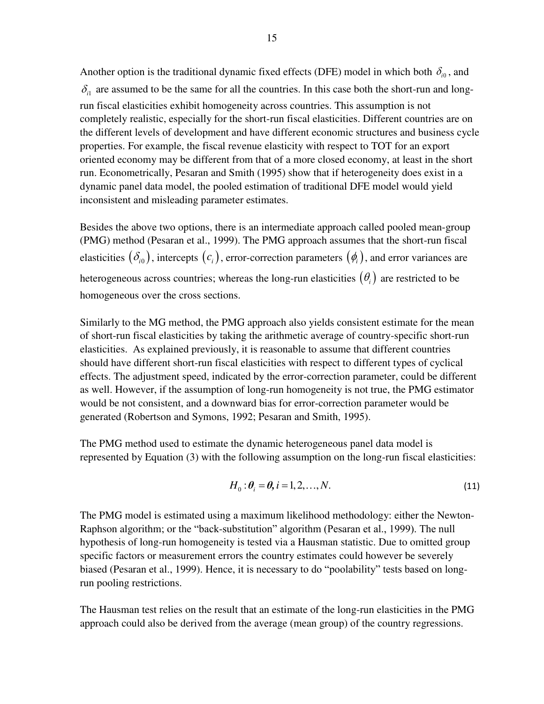Another option is the traditional dynamic fixed effects (DFE) model in which both  $\delta_{i0}$ , and  $\delta_{i1}$  are assumed to be the same for all the countries. In this case both the short-run and longrun fiscal elasticities exhibit homogeneity across countries. This assumption is not completely realistic, especially for the short-run fiscal elasticities. Different countries are on the different levels of development and have different economic structures and business cycle properties. For example, the fiscal revenue elasticity with respect to TOT for an export oriented economy may be different from that of a more closed economy, at least in the short run. Econometrically, Pesaran and Smith (1995) show that if heterogeneity does exist in a dynamic panel data model, the pooled estimation of traditional DFE model would yield inconsistent and misleading parameter estimates.

Besides the above two options, there is an intermediate approach called pooled mean-group (PMG) method (Pesaran et al., 1999). The PMG approach assumes that the short-run fiscal elasticities  $(\delta_{i0})$ , intercepts  $(c_i)$ , error-correction parameters  $(\phi_i)$ , and error variances are heterogeneous across countries; whereas the long-run elasticities  $(\theta_i)$  are restricted to be homogeneous over the cross sections.

Similarly to the MG method, the PMG approach also yields consistent estimate for the mean of short-run fiscal elasticities by taking the arithmetic average of country-specific short-run elasticities. As explained previously, it is reasonable to assume that different countries should have different short-run fiscal elasticities with respect to different types of cyclical effects. The adjustment speed, indicated by the error-correction parameter, could be different as well. However, if the assumption of long-run homogeneity is not true, the PMG estimator would be not consistent, and a downward bias for error-correction parameter would be generated (Robertson and Symons, 1992; Pesaran and Smith, 1995).

The PMG method used to estimate the dynamic heterogeneous panel data model is represented by Equation (3) with the following assumption on the long-run fiscal elasticities:

$$
H_0: \theta_i = \theta, i = 1, 2, \dots, N. \tag{11}
$$

The PMG model is estimated using a maximum likelihood methodology: either the Newton-Raphson algorithm; or the "back-substitution" algorithm (Pesaran et al., 1999). The null hypothesis of long-run homogeneity is tested via a Hausman statistic. Due to omitted group specific factors or measurement errors the country estimates could however be severely biased (Pesaran et al., 1999). Hence, it is necessary to do "poolability" tests based on longrun pooling restrictions.

The Hausman test relies on the result that an estimate of the long-run elasticities in the PMG approach could also be derived from the average (mean group) of the country regressions.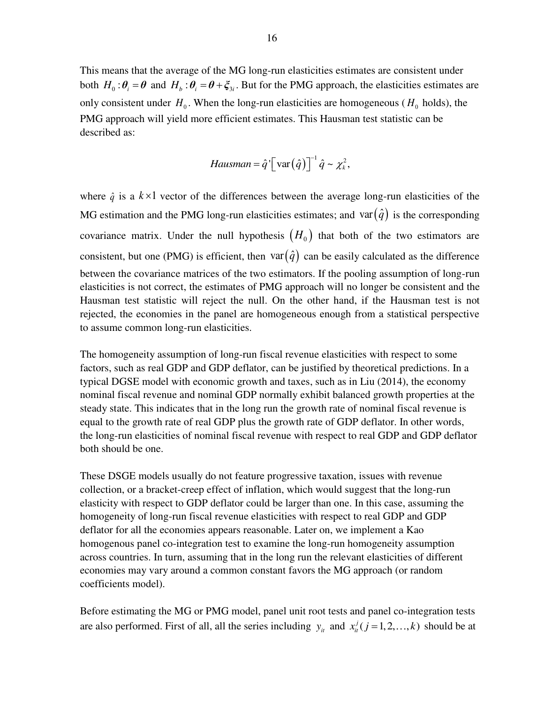This means that the average of the MG long-run elasticities estimates are consistent under both  $H_0: \theta_i = \theta$  and  $H_b: \theta_i = \theta + \xi_{3i}$ . But for the PMG approach, the elasticities estimates are only consistent under  $H_0$ . When the long-run elasticities are homogeneous ( $H_0$  holds), the PMG approach will yield more efficient estimates. This Hausman test statistic can be described as:

$$
Hausman = \hat{q}' \big[ \operatorname{var}(\hat{q}) \big]^{-1} \hat{q} \sim \chi_k^2,
$$

where  $\hat{q}$  is a  $k \times 1$  vector of the differences between the average long-run elasticities of the MG estimation and the PMG long-run elasticities estimates; and var $(\hat{q})$  is the corresponding covariance matrix. Under the null hypothesis  $(H_0)$  that both of the two estimators are consistent, but one (PMG) is efficient, then  $var(\hat{q})$  can be easily calculated as the difference between the covariance matrices of the two estimators. If the pooling assumption of long-run elasticities is not correct, the estimates of PMG approach will no longer be consistent and the Hausman test statistic will reject the null. On the other hand, if the Hausman test is not rejected, the economies in the panel are homogeneous enough from a statistical perspective to assume common long-run elasticities.

The homogeneity assumption of long-run fiscal revenue elasticities with respect to some factors, such as real GDP and GDP deflator, can be justified by theoretical predictions. In a typical DGSE model with economic growth and taxes, such as in Liu (2014), the economy nominal fiscal revenue and nominal GDP normally exhibit balanced growth properties at the steady state. This indicates that in the long run the growth rate of nominal fiscal revenue is equal to the growth rate of real GDP plus the growth rate of GDP deflator. In other words, the long-run elasticities of nominal fiscal revenue with respect to real GDP and GDP deflator both should be one.

These DSGE models usually do not feature progressive taxation, issues with revenue collection, or a bracket-creep effect of inflation, which would suggest that the long-run elasticity with respect to GDP deflator could be larger than one. In this case, assuming the homogeneity of long-run fiscal revenue elasticities with respect to real GDP and GDP deflator for all the economies appears reasonable. Later on, we implement a Kao homogenous panel co-integration test to examine the long-run homogeneity assumption across countries. In turn, assuming that in the long run the relevant elasticities of different economies may vary around a common constant favors the MG approach (or random coefficients model).

Before estimating the MG or PMG model, panel unit root tests and panel co-integration tests are also performed. First of all, all the series including  $y_i$  and  $x_i^j$  ( $j = 1, 2, ..., k$ ) should be at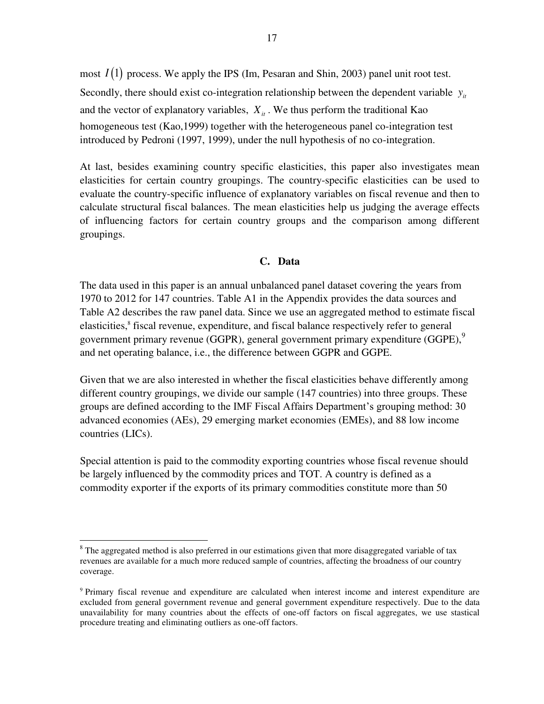most  $I(1)$  process. We apply the IPS (Im, Pesaran and Shin, 2003) panel unit root test. Secondly, there should exist co-integration relationship between the dependent variable  $y_i$ and the vector of explanatory variables,  $X_i$ . We thus perform the traditional Kao homogeneous test (Kao,1999) together with the heterogeneous panel co-integration test introduced by Pedroni (1997, 1999), under the null hypothesis of no co-integration.

At last, besides examining country specific elasticities, this paper also investigates mean elasticities for certain country groupings. The country-specific elasticities can be used to evaluate the country-specific influence of explanatory variables on fiscal revenue and then to calculate structural fiscal balances. The mean elasticities help us judging the average effects of influencing factors for certain country groups and the comparison among different groupings.

#### **C. Data**

The data used in this paper is an annual unbalanced panel dataset covering the years from 1970 to 2012 for 147 countries. Table A1 in the Appendix provides the data sources and Table A2 describes the raw panel data. Since we use an aggregated method to estimate fiscal elasticities,<sup>8</sup> fiscal revenue, expenditure, and fiscal balance respectively refer to general government primary revenue (GGPR), general government primary expenditure (GGPE),<sup>9</sup> and net operating balance, i.e., the difference between GGPR and GGPE.

Given that we are also interested in whether the fiscal elasticities behave differently among different country groupings, we divide our sample (147 countries) into three groups. These groups are defined according to the IMF Fiscal Affairs Department's grouping method: 30 advanced economies (AEs), 29 emerging market economies (EMEs), and 88 low income countries (LICs).

Special attention is paid to the commodity exporting countries whose fiscal revenue should be largely influenced by the commodity prices and TOT. A country is defined as a commodity exporter if the exports of its primary commodities constitute more than 50

<sup>&</sup>lt;sup>8</sup> The aggregated method is also preferred in our estimations given that more disaggregated variable of tax revenues are available for a much more reduced sample of countries, affecting the broadness of our country coverage.

<sup>&</sup>lt;sup>9</sup> Primary fiscal revenue and expenditure are calculated when interest income and interest expenditure are excluded from general government revenue and general government expenditure respectively. Due to the data unavailability for many countries about the effects of one-off factors on fiscal aggregates, we use stastical procedure treating and eliminating outliers as one-off factors.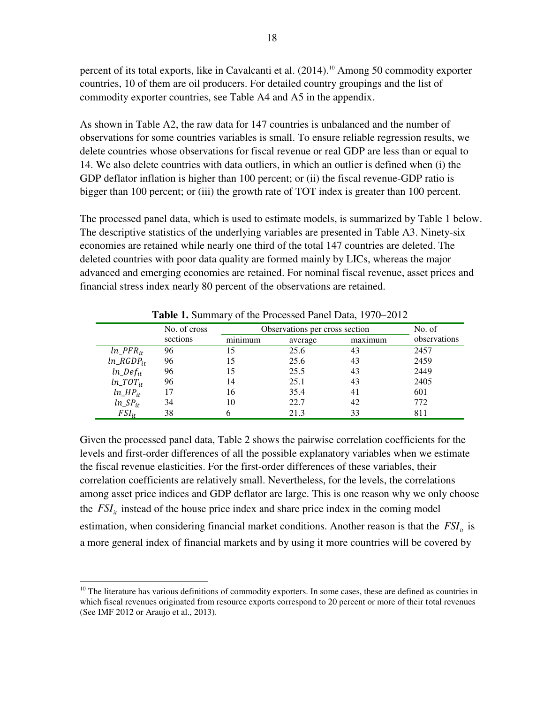percent of its total exports, like in Cavalcanti et al. (2014).<sup>10</sup> Among 50 commodity exporter countries, 10 of them are oil producers. For detailed country groupings and the list of commodity exporter countries, see Table A4 and A5 in the appendix.

As shown in Table A2, the raw data for 147 countries is unbalanced and the number of observations for some countries variables is small. To ensure reliable regression results, we delete countries whose observations for fiscal revenue or real GDP are less than or equal to 14. We also delete countries with data outliers, in which an outlier is defined when (i) the GDP deflator inflation is higher than 100 percent; or (ii) the fiscal revenue-GDP ratio is bigger than 100 percent; or (iii) the growth rate of TOT index is greater than 100 percent.

The processed panel data, which is used to estimate models, is summarized by Table 1 below. The descriptive statistics of the underlying variables are presented in Table A3. Ninety-six economies are retained while nearly one third of the total 147 countries are deleted. The deleted countries with poor data quality are formed mainly by LICs, whereas the major advanced and emerging economies are retained. For nominal fiscal revenue, asset prices and financial stress index nearly 80 percent of the observations are retained.

|                 | No. of cross |         | Observations per cross section |         |              |  |  |  |
|-----------------|--------------|---------|--------------------------------|---------|--------------|--|--|--|
|                 | sections     | minimum | average                        | maximum | observations |  |  |  |
| $ln\_PFR_{it}$  | 96           | 15      | 25.6                           | 43      | 2457         |  |  |  |
| $ln\_RGDP_{it}$ | 96           | 15      | 25.6                           | 43      | 2459         |  |  |  |
| $ln\_Def_{it}$  | 96           | 15      | 25.5                           | 43      | 2449         |  |  |  |
| $ln\_TOT_{it}$  | 96           | 14      | 25.1                           | 43      | 2405         |  |  |  |
| $ln\_HP_{it}$   |              | 16      | 35.4                           | 41      | 601          |  |  |  |
| $ln\_SP_{it}$   | 34           | 10      | 22.7                           | 42      | 772          |  |  |  |
| $FSI_{it}$      | 38           |         | 21.3                           | 33      | 811          |  |  |  |

**Table 1.** Summary of the Processed Panel Data, 1970–2012

Given the processed panel data, Table 2 shows the pairwise correlation coefficients for the levels and first-order differences of all the possible explanatory variables when we estimate the fiscal revenue elasticities. For the first-order differences of these variables, their correlation coefficients are relatively small. Nevertheless, for the levels, the correlations among asset price indices and GDP deflator are large. This is one reason why we only choose the  $FSI<sub>it</sub>$  instead of the house price index and share price index in the coming model estimation, when considering financial market conditions. Another reason is that the  $FSI<sub>i</sub>$  is a more general index of financial markets and by using it more countries will be covered by

 $10$  The literature has various definitions of commodity exporters. In some cases, these are defined as countries in which fiscal revenues originated from resource exports correspond to 20 percent or more of their total revenues (See IMF 2012 or Araujo et al., 2013).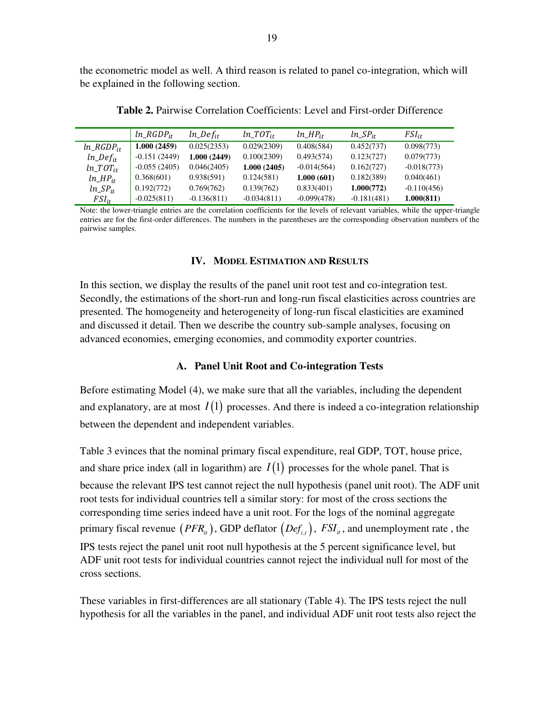the econometric model as well. A third reason is related to panel co-integration, which will be explained in the following section.

|                 | $ln\_RGDP_{it}$ | $ln\_Def_{it}$ | $ln\_TOT_{it}$ | $ln\_HP_{it}$ | $ln\_SP_{it}$ | $FSI_{it}$    |
|-----------------|-----------------|----------------|----------------|---------------|---------------|---------------|
| $ln\_RGDP_{it}$ | 1.000(2459)     | 0.025(2353)    | 0.029(2309)    | 0.408(584)    | 0.452(737)    | 0.098(773)    |
| $ln\_Def_{it}$  | $-0.151(2449)$  | 1.000 (2449)   | 0.100(2309)    | 0.493(574)    | 0.123(727)    | 0.079(773)    |
| $ln\_TOT_{it}$  | $-0.055(2405)$  | 0.046(2405)    | 1.000(2405)    | $-0.014(564)$ | 0.162(727)    | $-0.018(773)$ |
| $ln\_HP_{it}$   | 0.368(601)      | 0.938(591)     | 0.124(581)     | 1.000(601)    | 0.182(389)    | 0.040(461)    |
| $ln\_SP_{it}$   | 0.192(772)      | 0.769(762)     | 0.139(762)     | 0.833(401)    | 1.000(772)    | $-0.110(456)$ |
| $FSI_{it}$      | $-0.025(811)$   | $-0.136(811)$  | $-0.034(811)$  | $-0.099(478)$ | $-0.181(481)$ | 1.000(811)    |

**Table 2.** Pairwise Correlation Coefficients: Level and First-order Difference

Note: the lower-triangle entries are the correlation coefficients for the levels of relevant variables, while the upper-triangle entries are for the first-order differences. The numbers in the parentheses are the corresponding observation numbers of the pairwise samples.

#### **IV. MODEL ESTIMATION AND RESULTS**

In this section, we display the results of the panel unit root test and co-integration test. Secondly, the estimations of the short-run and long-run fiscal elasticities across countries are presented. The homogeneity and heterogeneity of long-run fiscal elasticities are examined and discussed it detail. Then we describe the country sub-sample analyses, focusing on advanced economies, emerging economies, and commodity exporter countries.

#### **A. Panel Unit Root and Co-integration Tests**

Before estimating Model (4), we make sure that all the variables, including the dependent and explanatory, are at most  $I(1)$  processes. And there is indeed a co-integration relationship between the dependent and independent variables.

Table 3 evinces that the nominal primary fiscal expenditure, real GDP, TOT, house price, and share price index (all in logarithm) are  $I(1)$  processes for the whole panel. That is because the relevant IPS test cannot reject the null hypothesis (panel unit root). The ADF unit root tests for individual countries tell a similar story: for most of the cross sections the corresponding time series indeed have a unit root. For the logs of the nominal aggregate primary fiscal revenue  $(PFR<sub>it</sub>)$ , GDP deflator  $(Def<sub>it</sub>)$ ,  $FSI<sub>it</sub>$ , and unemployment rate, the IPS tests reject the panel unit root null hypothesis at the 5 percent significance level, but ADF unit root tests for individual countries cannot reject the individual null for most of the cross sections.

These variables in first-differences are all stationary (Table 4). The IPS tests reject the null hypothesis for all the variables in the panel, and individual ADF unit root tests also reject the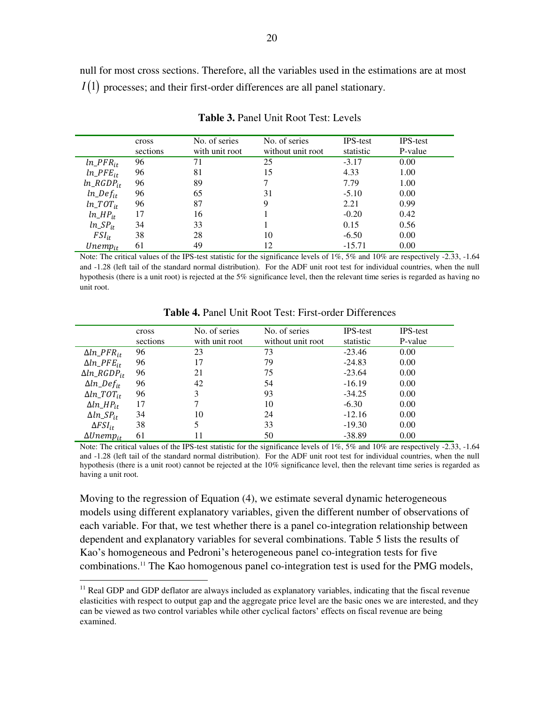null for most cross sections. Therefore, all the variables used in the estimations are at most  $I(1)$  processes; and their first-order differences are all panel stationary.

|                 | cross    | No. of series  | No. of series     | <b>IPS-test</b> | <b>IPS-test</b> |
|-----------------|----------|----------------|-------------------|-----------------|-----------------|
|                 | sections | with unit root | without unit root | statistic       | P-value         |
| $ln\_PFR_{it}$  | 96       | 71             | 25                | $-3.17$         | 0.00            |
| $ln\_PFE_{it}$  | 96       | 81             | 15                | 4.33            | 1.00            |
| $ln\_RGDP_{it}$ | 96       | 89             |                   | 7.79            | 1.00            |
| $ln\_Def_{it}$  | 96       | 65             | 31                | $-5.10$         | 0.00            |
| $ln\_TOT_{it}$  | 96       | 87             | 9                 | 2.21            | 0.99            |
| $ln\_HP_{it}$   | 17       | 16             |                   | $-0.20$         | 0.42            |
| $ln\_SP_{it}$   | 34       | 33             |                   | 0.15            | 0.56            |
| $FSI_{it}$      | 38       | 28             | 10                | $-6.50$         | 0.00            |
| $Unemp_{it}$    | 61       | 49             | 12                | $-15.71$        | 0.00            |

**Table 3.** Panel Unit Root Test: Levels

Note: The critical values of the IPS-test statistic for the significance levels of  $1\%$ ,  $5\%$  and  $10\%$  are respectively -2.33, -1.64 and -1.28 (left tail of the standard normal distribution). For the ADF unit root test for individual countries, when the null hypothesis (there is a unit root) is rejected at the 5% significance level, then the relevant time series is regarded as having no unit root.

|                        | cross<br>sections | No. of series<br>with unit root | No. of series<br>without unit root | <b>IPS-test</b><br>statistic | <b>IPS-test</b><br>P-value |
|------------------------|-------------------|---------------------------------|------------------------------------|------------------------------|----------------------------|
| $\Delta ln\_PFR_{it}$  | 96                | 23                              | 73                                 | $-23.46$                     | 0.00                       |
| $\Delta ln\_PFE_{it}$  | 96                | 17                              | 79                                 | $-24.83$                     | 0.00                       |
| $\Delta ln\_RGDP_{it}$ | 96                | 21                              | 75                                 | $-23.64$                     | 0.00                       |
| $\Delta ln\_Def_{it}$  | 96                | 42                              | 54                                 | $-16.19$                     | 0.00                       |
| $\Delta ln\_TOT_{it}$  | 96                | 3                               | 93                                 | $-34.25$                     | 0.00                       |
| $\Delta ln\_HP_{it}$   | 17                |                                 | 10                                 | $-6.30$                      | 0.00                       |
| $\Delta ln\_SP_{it}$   | 34                | 10                              | 24                                 | $-12.16$                     | 0.00                       |
| $\Delta FSI_{it}$      | 38                | 5                               | 33                                 | $-19.30$                     | 0.00                       |
| $\Delta Unemp_{it}$    | 61                | 11                              | 50                                 | $-38.89$                     | 0.00                       |

**Table 4.** Panel Unit Root Test: First-order Differences

Note: The critical values of the IPS-test statistic for the significance levels of 1%, 5% and 10% are respectively -2.33, -1.64 and -1.28 (left tail of the standard normal distribution). For the ADF unit root test for individual countries, when the null hypothesis (there is a unit root) cannot be rejected at the 10% significance level, then the relevant time series is regarded as having a unit root.

Moving to the regression of Equation (4), we estimate several dynamic heterogeneous models using different explanatory variables, given the different number of observations of each variable. For that, we test whether there is a panel co-integration relationship between dependent and explanatory variables for several combinations. Table 5 lists the results of Kao's homogeneous and Pedroni's heterogeneous panel co-integration tests for five combinations.<sup>11</sup> The Kao homogenous panel co-integration test is used for the PMG models,

<sup>&</sup>lt;sup>11</sup> Real GDP and GDP deflator are always included as explanatory variables, indicating that the fiscal revenue elasticities with respect to output gap and the aggregate price level are the basic ones we are interested, and they can be viewed as two control variables while other cyclical factors' effects on fiscal revenue are being examined.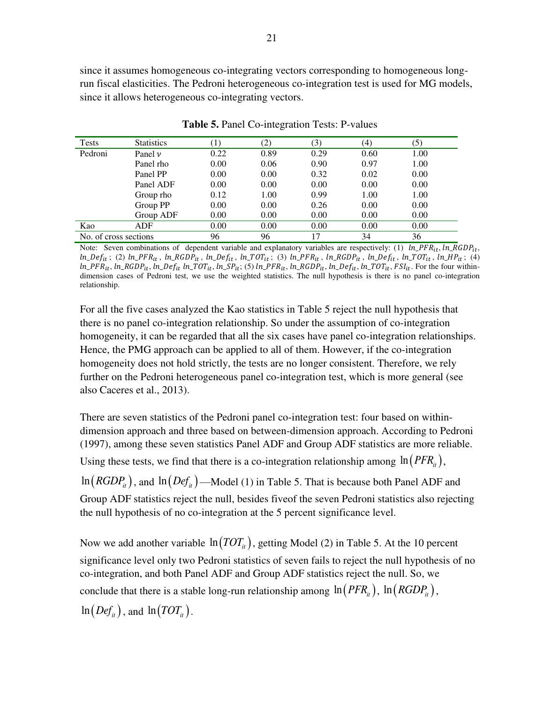since it assumes homogeneous co-integrating vectors corresponding to homogeneous longrun fiscal elasticities. The Pedroni heterogeneous co-integration test is used for MG models, since it allows heterogeneous co-integrating vectors.

| <b>Tests</b>          | <b>Statistics</b> | $\left(1\right)$ | (2)  | (3)  | (4)  | (5)  |
|-----------------------|-------------------|------------------|------|------|------|------|
| Pedroni               | Panel $\nu$       | 0.22             | 0.89 | 0.29 | 0.60 | 1.00 |
|                       | Panel rho         | 0.00             | 0.06 | 0.90 | 0.97 | 1.00 |
|                       | Panel PP          | 0.00             | 0.00 | 0.32 | 0.02 | 0.00 |
|                       | Panel ADF         | 0.00             | 0.00 | 0.00 | 0.00 | 0.00 |
|                       | Group rho         | 0.12             | 1.00 | 0.99 | 1.00 | 1.00 |
|                       | Group PP          | 0.00             | 0.00 | 0.26 | 0.00 | 0.00 |
|                       | Group ADF         | 0.00             | 0.00 | 0.00 | 0.00 | 0.00 |
| Kao                   | ADF               | 0.00             | 0.00 | 0.00 | 0.00 | 0.00 |
| No. of cross sections |                   | 96               | 96   | 17   | 34   | 36   |

**Table 5.** Panel Co-integration Tests: P-values

Note: Seven combinations of dependent variable and explanatory variables are respectively: (1)  $ln\_PFR_{it}$ ,  $ln\_RGBP_{it}$ ,  $ln\_Def_{it}$ ; (2)  $ln\_PFR_{it}$ ,  $ln\_RGDP_{it}$ ,  $ln\_Def_{it}$ ,  $ln\_TOT_{it}$ ; (3)  $ln\_PFR_{it}$ ,  $ln\_RGDP_{it}$ ,  $ln\_Def_{it}$ ,  $ln\_TOT_{it}$ ,  $ln\_HP_{it}$ ; (4)  $ln\_PFR_{it}$ ,  $ln\_RGBP_{it}$ ,  $ln\_Def_{it}$   $ln\_TOT_{it}$ ,  $ln\_SP_{it}$ ; (5)  $ln\_PFR_{it}$ ,  $ln\_RGBP_{it}$ ,  $ln\_Def_{it}$ ,  $ln\_TOT_{it}$ ,  $FSI_{it}$ . For the four withindimension cases of Pedroni test, we use the weighted statistics. The null hypothesis is there is no panel co-integration relationship.

For all the five cases analyzed the Kao statistics in Table 5 reject the null hypothesis that there is no panel co-integration relationship. So under the assumption of co-integration homogeneity, it can be regarded that all the six cases have panel co-integration relationships. Hence, the PMG approach can be applied to all of them. However, if the co-integration homogeneity does not hold strictly, the tests are no longer consistent. Therefore, we rely further on the Pedroni heterogeneous panel co-integration test, which is more general (see also Caceres et al., 2013).

There are seven statistics of the Pedroni panel co-integration test: four based on withindimension approach and three based on between-dimension approach. According to Pedroni (1997), among these seven statistics Panel ADF and Group ADF statistics are more reliable. Using these tests, we find that there is a co-integration relationship among  $\ln (PFR<sub>i</sub>)$ ,

 $\ln (RGDP_{it})$ , and  $\ln (Def_{it})$ —Model (1) in Table 5. That is because both Panel ADF and Group ADF statistics reject the null, besides fiveof the seven Pedroni statistics also rejecting the null hypothesis of no co-integration at the 5 percent significance level.

Now we add another variable  $\ln (TOT_{it})$ , getting Model (2) in Table 5. At the 10 percent significance level only two Pedroni statistics of seven fails to reject the null hypothesis of no co-integration, and both Panel ADF and Group ADF statistics reject the null. So, we conclude that there is a stable long-run relationship among  $\ln (PFR_i)$ ,  $\ln (RGDP_i)$ ,  $\ln (Def_{it})$ , and  $\ln (TOT_{it})$ .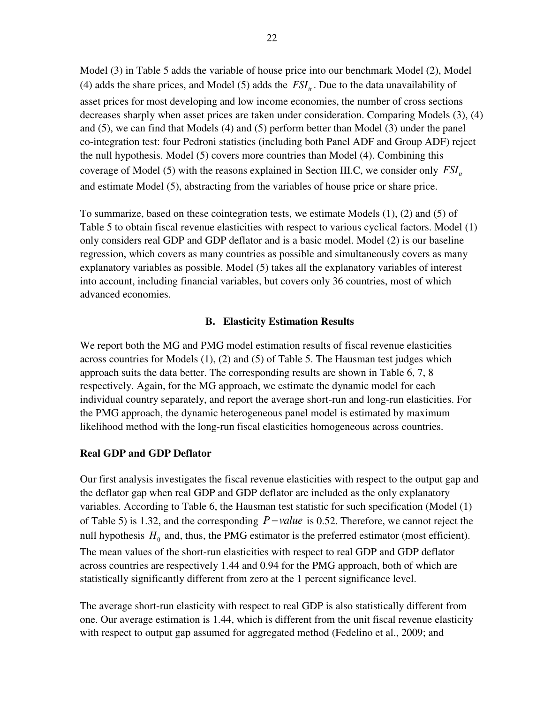Model (3) in Table 5 adds the variable of house price into our benchmark Model (2), Model (4) adds the share prices, and Model (5) adds the  $FSI<sub>i</sub>$ . Due to the data unavailability of asset prices for most developing and low income economies, the number of cross sections decreases sharply when asset prices are taken under consideration. Comparing Models (3), (4) and (5), we can find that Models (4) and (5) perform better than Model (3) under the panel co-integration test: four Pedroni statistics (including both Panel ADF and Group ADF) reject the null hypothesis. Model (5) covers more countries than Model (4). Combining this coverage of Model (5) with the reasons explained in Section III.C, we consider only  $FSI<sub>i</sub>$ and estimate Model (5), abstracting from the variables of house price or share price.

To summarize, based on these cointegration tests, we estimate Models (1), (2) and (5) of Table 5 to obtain fiscal revenue elasticities with respect to various cyclical factors. Model (1) only considers real GDP and GDP deflator and is a basic model. Model (2) is our baseline regression, which covers as many countries as possible and simultaneously covers as many explanatory variables as possible. Model (5) takes all the explanatory variables of interest into account, including financial variables, but covers only 36 countries, most of which advanced economies.

#### **B. Elasticity Estimation Results**

We report both the MG and PMG model estimation results of fiscal revenue elasticities across countries for Models (1), (2) and (5) of Table 5. The Hausman test judges which approach suits the data better. The corresponding results are shown in Table 6, 7, 8 respectively. Again, for the MG approach, we estimate the dynamic model for each individual country separately, and report the average short-run and long-run elasticities. For the PMG approach, the dynamic heterogeneous panel model is estimated by maximum likelihood method with the long-run fiscal elasticities homogeneous across countries.

#### **Real GDP and GDP Deflator**

Our first analysis investigates the fiscal revenue elasticities with respect to the output gap and the deflator gap when real GDP and GDP deflator are included as the only explanatory variables. According to Table 6, the Hausman test statistic for such specification (Model (1) of Table 5) is 1.32, and the corresponding  $P-value$  is 0.52. Therefore, we cannot reject the null hypothesis  $H_0$  and, thus, the PMG estimator is the preferred estimator (most efficient). The mean values of the short-run elasticities with respect to real GDP and GDP deflator across countries are respectively 1.44 and 0.94 for the PMG approach, both of which are statistically significantly different from zero at the 1 percent significance level.

The average short-run elasticity with respect to real GDP is also statistically different from one. Our average estimation is 1.44, which is different from the unit fiscal revenue elasticity with respect to output gap assumed for aggregated method (Fedelino et al., 2009; and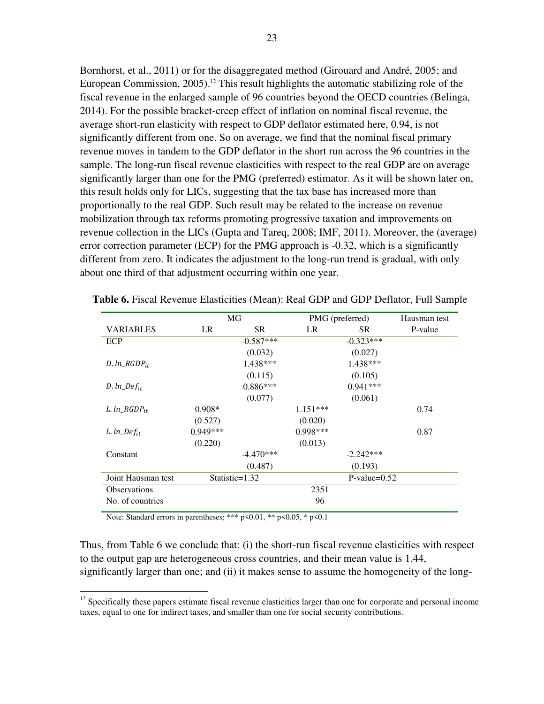Bornhorst, et al., 2011) or for the disaggregated method (Girouard and André, 2005; and European Commission,  $2005$ .<sup>12</sup> This result highlights the automatic stabilizing role of the fiscal revenue in the enlarged sample of 96 countries beyond the OECD countries (Belinga, 2014). For the possible bracket-creep effect of inflation on nominal fiscal revenue, the average short-run elasticity with respect to GDP deflator estimated here, 0.94, is not significantly different from one. So on average, we find that the nominal fiscal primary revenue moves in tandem to the GDP deflator in the short run across the 96 countries in the sample. The long-run fiscal revenue elasticities with respect to the real GDP are on average significantly larger than one for the PMG (preferred) estimator. As it will be shown later on, this result holds only for LICs, suggesting that the tax base has increased more than proportionally to the real GDP. Such result may be related to the increase on revenue mobilization through tax reforms promoting progressive taxation and improvements on revenue collection in the LICs (Gupta and Tareq, 2008; IMF, 2011). Moreover, the (average) error correction parameter (ECP) for the PMG approach is -0.32, which is a significantly different from zero. It indicates the adjustment to the long-run trend is gradual, with only about one third of that adjustment occurring within one year.

|                     |            | MG             |            | PMG (preferred) | Hausman test |
|---------------------|------------|----------------|------------|-----------------|--------------|
| <b>VARIABLES</b>    | LR.        | SR.            | LR         | SR.             | P-value      |
| ECP                 |            | $-0.587***$    |            | $-0.323***$     |              |
|                     |            | (0.032)        |            | (0.027)         |              |
| $D. ln\_RGDP_{it}$  |            | 1.438***       |            | $1.438***$      |              |
|                     |            | (0.115)        |            | (0.105)         |              |
| $D. ln\_Def_{it}$   |            | $0.886***$     |            | $0.941***$      |              |
|                     |            | (0.077)        |            | (0.061)         |              |
| L. $ln\_RGDP_{it}$  | $0.908*$   |                | $1.151***$ |                 | 0.74         |
|                     | (0.527)    |                | (0.020)    |                 |              |
| $L. ln\_Def_{it}$   | $0.949***$ |                | $0.998***$ |                 | 0.87         |
|                     | (0.220)    |                | (0.013)    |                 |              |
| Constant            |            | $-4.470***$    |            | $-2.242***$     |              |
|                     |            | (0.487)        |            | (0.193)         |              |
| Joint Hausman test  |            | Statistic=1.32 |            | $P-value=0.52$  |              |
| <b>Observations</b> |            |                | 2351       |                 |              |
| No. of countries    |            |                | 96         |                 |              |
|                     |            |                |            |                 |              |

**Table 6.** Fiscal Revenue Elasticities (Mean): Real GDP and GDP Deflator, Full Sample

Note: Standard errors in parentheses; \*\*\* p<0.01, \*\* p<0.05, \* p<0.1

 $\overline{a}$ 

Thus, from Table 6 we conclude that: (i) the short-run fiscal revenue elasticities with respect to the output gap are heterogeneous cross countries, and their mean value is 1.44, significantly larger than one; and (ii) it makes sense to assume the homogeneity of the long-

 $12$  Specifically these papers estimate fiscal revenue elasticities larger than one for corporate and personal income taxes, equal to one for indirect taxes, and smaller than one for social security contributions.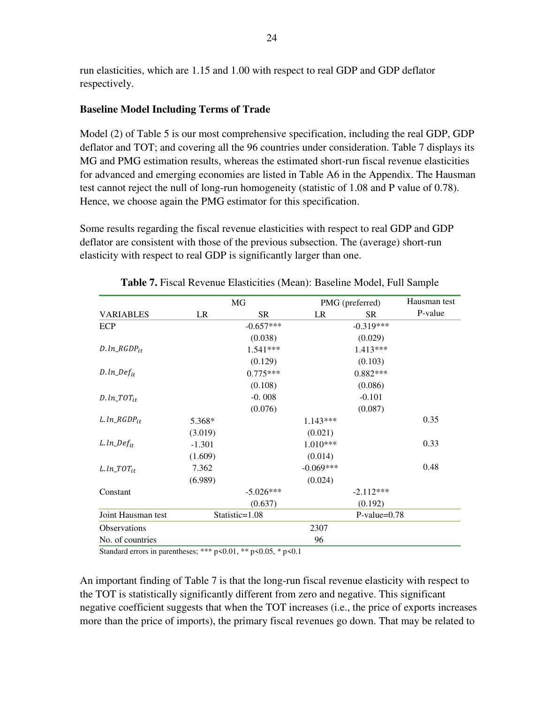run elasticities, which are 1.15 and 1.00 with respect to real GDP and GDP deflator respectively.

#### **Baseline Model Including Terms of Trade**

Model (2) of Table 5 is our most comprehensive specification, including the real GDP, GDP deflator and TOT; and covering all the 96 countries under consideration. Table 7 displays its MG and PMG estimation results, whereas the estimated short-run fiscal revenue elasticities for advanced and emerging economies are listed in Table A6 in the Appendix. The Hausman test cannot reject the null of long-run homogeneity (statistic of 1.08 and P value of 0.78). Hence, we choose again the PMG estimator for this specification.

Some results regarding the fiscal revenue elasticities with respect to real GDP and GDP deflator are consistent with those of the previous subsection. The (average) short-run elasticity with respect to real GDP is significantly larger than one.

|                        |          | MG             | PMG (preferred) | Hausman test   |         |
|------------------------|----------|----------------|-----------------|----------------|---------|
| <b>VARIABLES</b>       | LR       | <b>SR</b>      | LR              | <b>SR</b>      | P-value |
| <b>ECP</b>             |          | $-0.657***$    |                 | $-0.319***$    |         |
|                        |          | (0.038)        |                 | (0.029)        |         |
| $D. ln\_RGDP_{it}$     |          | $1.541***$     |                 | $1.413***$     |         |
|                        |          | (0.129)        |                 | (0.103)        |         |
| $D. ln\_Def_{it}$      |          | $0.775***$     |                 | $0.882***$     |         |
|                        |          | (0.108)        |                 | (0.086)        |         |
| $D. ln\_TOT_{it}$      |          | $-0.008$       |                 | $-0.101$       |         |
|                        |          | (0.076)        |                 | (0.087)        |         |
| $L. ln\_RGDP_{it}$     | 5.368*   |                | $1.143***$      |                | 0.35    |
|                        | (3.019)  |                | (0.021)         |                |         |
| $L. ln\_Def_{it}$      | $-1.301$ |                | $1.010***$      |                | 0.33    |
|                        | (1.609)  |                | (0.014)         |                |         |
| L.ln_TOT <sub>it</sub> | 7.362    |                | $-0.069***$     |                | 0.48    |
|                        | (6.989)  |                | (0.024)         |                |         |
| Constant               |          | $-5.026***$    |                 | $-2.112***$    |         |
|                        |          | (0.637)        |                 | (0.192)        |         |
| Joint Hausman test     |          | Statistic=1.08 |                 | $P-value=0.78$ |         |
| <b>Observations</b>    |          |                | 2307            |                |         |
| No. of countries       |          |                | 96              |                |         |

**Table 7.** Fiscal Revenue Elasticities (Mean): Baseline Model, Full Sample

Standard errors in parentheses; \*\*\*  $p$  < 0.01, \*\*  $p$  < 0.05, \*  $p$  < 0.1

An important finding of Table 7 is that the long-run fiscal revenue elasticity with respect to the TOT is statistically significantly different from zero and negative. This significant negative coefficient suggests that when the TOT increases (i.e., the price of exports increases more than the price of imports), the primary fiscal revenues go down. That may be related to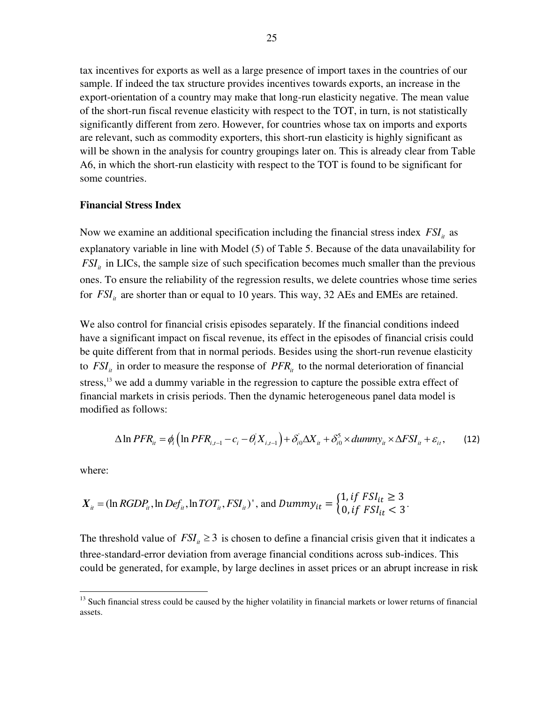tax incentives for exports as well as a large presence of import taxes in the countries of our sample. If indeed the tax structure provides incentives towards exports, an increase in the export-orientation of a country may make that long-run elasticity negative. The mean value of the short-run fiscal revenue elasticity with respect to the TOT, in turn, is not statistically significantly different from zero. However, for countries whose tax on imports and exports are relevant, such as commodity exporters, this short-run elasticity is highly significant as will be shown in the analysis for country groupings later on. This is already clear from Table A6, in which the short-run elasticity with respect to the TOT is found to be significant for some countries.

#### **Financial Stress Index**

Now we examine an additional specification including the financial stress index  $FSI<sub>it</sub>$  as explanatory variable in line with Model (5) of Table 5. Because of the data unavailability for  $FSI<sub>it</sub>$  in LICs, the sample size of such specification becomes much smaller than the previous ones. To ensure the reliability of the regression results, we delete countries whose time series for  $FSI<sub>i</sub>$  are shorter than or equal to 10 years. This way, 32 AEs and EMEs are retained.

We also control for financial crisis episodes separately. If the financial conditions indeed have a significant impact on fiscal revenue, its effect in the episodes of financial crisis could be quite different from that in normal periods. Besides using the short-run revenue elasticity to  $FSI<sub>i</sub>$  in order to measure the response of  $PFR<sub>i</sub>$  to the normal deterioration of financial stress,<sup>13</sup> we add a dummy variable in the regression to capture the possible extra effect of financial markets in crisis periods. Then the dynamic heterogeneous panel data model is modified as follows:

$$
\Delta \ln PFR_{ii} = \phi_i \left( \ln PFR_{i,t-1} - c_i - \theta_i X_{i,t-1} \right) + \delta_{i0} \Delta X_{ii} + \delta_{i0}^5 \times dummy_{ii} \times \Delta FSI_{ii} + \varepsilon_{ii}, \qquad (12)
$$

where:

 $\overline{a}$ 

$$
X_{it} = (\ln RGDP_{it}, \ln Def_{it}, \ln TOT_{it}, FSI_{it})', \text{ and } Dummy_{it} = \begin{cases} 1, if \text{ } FSI_{it} \geq 3\\ 0, if \text{ } FSI_{it} < 3 \end{cases}.
$$

The threshold value of  $FSI_i \geq 3$  is chosen to define a financial crisis given that it indicates a three-standard-error deviation from average financial conditions across sub-indices. This could be generated, for example, by large declines in asset prices or an abrupt increase in risk

<sup>&</sup>lt;sup>13</sup> Such financial stress could be caused by the higher volatility in financial markets or lower returns of financial assets.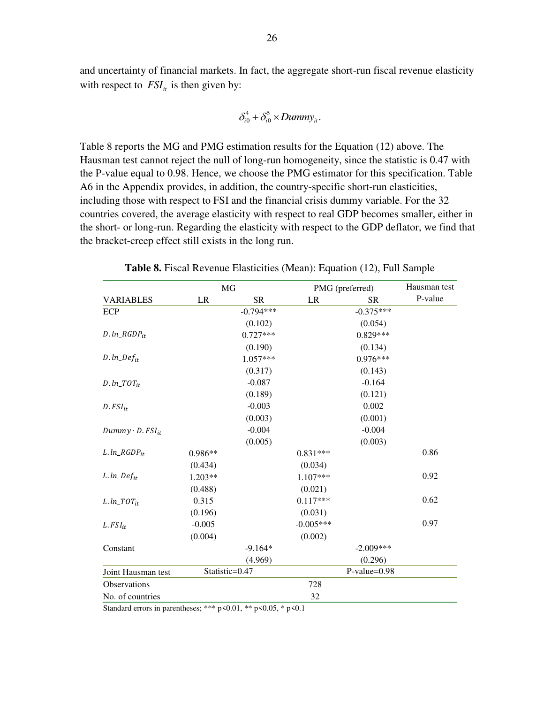and uncertainty of financial markets. In fact, the aggregate short-run fiscal revenue elasticity with respect to  $FSI<sub>i</sub>$  is then given by:

$$
\delta_{i0}^4 + \delta_{i0}^5 \times Dummy_{it}.
$$

Table 8 reports the MG and PMG estimation results for the Equation (12) above. The Hausman test cannot reject the null of long-run homogeneity, since the statistic is 0.47 with the P-value equal to 0.98. Hence, we choose the PMG estimator for this specification. Table A6 in the Appendix provides, in addition, the country-specific short-run elasticities, including those with respect to FSI and the financial crisis dummy variable. For the 32 countries covered, the average elasticity with respect to real GDP becomes smaller, either in the short- or long-run. Regarding the elasticity with respect to the GDP deflator, we find that the bracket-creep effect still exists in the long run.

|                           | MG             |             | PMG (preferred) |                | Hausman test |
|---------------------------|----------------|-------------|-----------------|----------------|--------------|
| <b>VARIABLES</b>          | LR             | <b>SR</b>   | LR              | <b>SR</b>      | P-value      |
| ECP                       |                | $-0.794***$ |                 | $-0.375***$    |              |
|                           |                | (0.102)     |                 | (0.054)        |              |
| $D. ln\_RGDP_{it}$        |                | $0.727***$  |                 | $0.829***$     |              |
|                           |                | (0.190)     |                 | (0.134)        |              |
| $D. ln\_Def_{it}$         |                | 1.057***    |                 | $0.976***$     |              |
|                           |                | (0.317)     |                 | (0.143)        |              |
| $D. ln\_TOT_{it}$         |                | $-0.087$    |                 | $-0.164$       |              |
|                           |                | (0.189)     |                 | (0.121)        |              |
| $D.FSI_{it}$              |                | $-0.003$    |                 | 0.002          |              |
|                           |                | (0.003)     |                 | (0.001)        |              |
| $Dummy \cdot D. FSI_{it}$ |                | $-0.004$    |                 | $-0.004$       |              |
|                           |                | (0.005)     |                 | (0.003)        |              |
| $L. ln_R GDP_{it}$        | $0.986**$      |             | $0.831***$      |                | 0.86         |
|                           | (0.434)        |             | (0.034)         |                |              |
| $L. ln\_Def_{it}$         | $1.203**$      |             | 1.107***        |                | 0.92         |
|                           | (0.488)        |             | (0.021)         |                |              |
| $L. ln\_TOT_{it}$         | 0.315          |             | $0.117***$      |                | 0.62         |
|                           | (0.196)        |             | (0.031)         |                |              |
| $L$ . $FSI_{it}$          | $-0.005$       |             | $-0.005***$     |                | 0.97         |
|                           | (0.004)        |             | (0.002)         |                |              |
| Constant                  |                | $-9.164*$   |                 | $-2.009***$    |              |
|                           |                | (4.969)     |                 | (0.296)        |              |
| Joint Hausman test        | Statistic=0.47 |             |                 | $P-value=0.98$ |              |
| Observations              |                |             | 728             |                |              |
| No. of countries          |                |             | 32              |                |              |

**Table 8.** Fiscal Revenue Elasticities (Mean): Equation (12), Full Sample

Standard errors in parentheses; \*\*\* p<0.01, \*\* p<0.05, \* p<0.1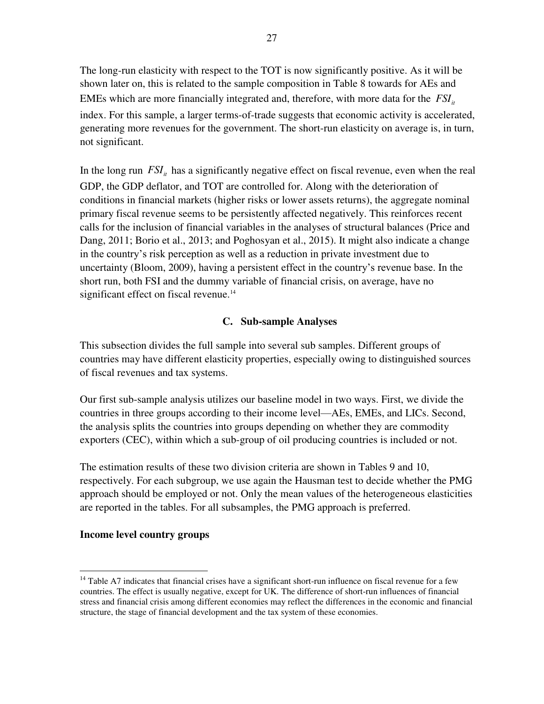The long-run elasticity with respect to the TOT is now significantly positive. As it will be shown later on, this is related to the sample composition in Table 8 towards for AEs and EMEs which are more financially integrated and, therefore, with more data for the  $FSI_{it}$ index. For this sample, a larger terms-of-trade suggests that economic activity is accelerated, generating more revenues for the government. The short-run elasticity on average is, in turn, not significant.

In the long run  $FSI<sub>i</sub>$  has a significantly negative effect on fiscal revenue, even when the real GDP, the GDP deflator, and TOT are controlled for. Along with the deterioration of conditions in financial markets (higher risks or lower assets returns), the aggregate nominal primary fiscal revenue seems to be persistently affected negatively. This reinforces recent calls for the inclusion of financial variables in the analyses of structural balances (Price and Dang, 2011; Borio et al., 2013; and Poghosyan et al., 2015). It might also indicate a change in the country's risk perception as well as a reduction in private investment due to uncertainty (Bloom, 2009), having a persistent effect in the country's revenue base. In the short run, both FSI and the dummy variable of financial crisis, on average, have no significant effect on fiscal revenue.<sup>14</sup>

#### **C. Sub-sample Analyses**

This subsection divides the full sample into several sub samples. Different groups of countries may have different elasticity properties, especially owing to distinguished sources of fiscal revenues and tax systems.

Our first sub-sample analysis utilizes our baseline model in two ways. First, we divide the countries in three groups according to their income level—AEs, EMEs, and LICs. Second, the analysis splits the countries into groups depending on whether they are commodity exporters (CEC), within which a sub-group of oil producing countries is included or not.

The estimation results of these two division criteria are shown in Tables 9 and 10, respectively. For each subgroup, we use again the Hausman test to decide whether the PMG approach should be employed or not. Only the mean values of the heterogeneous elasticities are reported in the tables. For all subsamples, the PMG approach is preferred.

#### **Income level country groups**

<sup>&</sup>lt;sup>14</sup> Table A7 indicates that financial crises have a significant short-run influence on fiscal revenue for a few countries. The effect is usually negative, except for UK. The difference of short-run influences of financial stress and financial crisis among different economies may reflect the differences in the economic and financial structure, the stage of financial development and the tax system of these economies.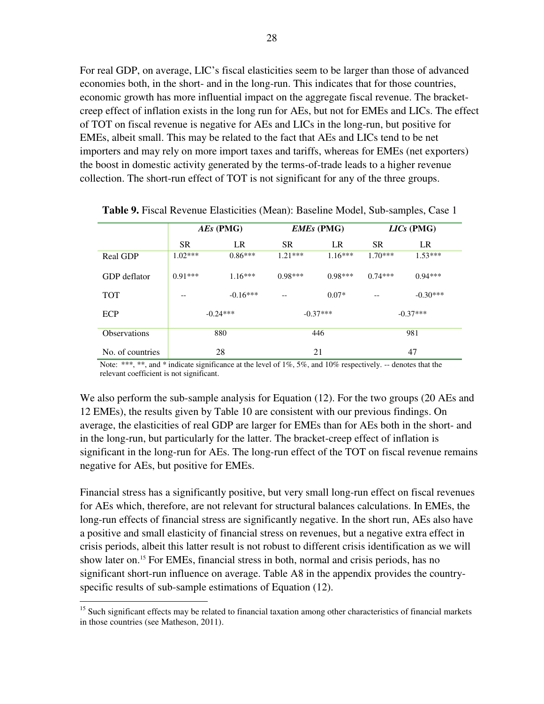For real GDP, on average, LIC's fiscal elasticities seem to be larger than those of advanced economies both, in the short- and in the long-run. This indicates that for those countries, economic growth has more influential impact on the aggregate fiscal revenue. The bracketcreep effect of inflation exists in the long run for AEs, but not for EMEs and LICs. The effect of TOT on fiscal revenue is negative for AEs and LICs in the long-run, but positive for EMEs, albeit small. This may be related to the fact that AEs and LICs tend to be net importers and may rely on more import taxes and tariffs, whereas for EMEs (net exporters) the boost in domestic activity generated by the terms-of-trade leads to a higher revenue collection. The short-run effect of TOT is not significant for any of the three groups.

|                     | AEs (PMG)  |            |            | <b>EMEs</b> (PMG) | $LICs$ (PMG) |            |
|---------------------|------------|------------|------------|-------------------|--------------|------------|
|                     | <b>SR</b>  | LR         | <b>SR</b>  | LR                | <b>SR</b>    | LR         |
| <b>Real GDP</b>     | $1.02***$  | $0.86***$  | $1.21***$  | $1.16***$         | $1.70***$    | $1.53***$  |
| GDP deflator        | $0.91***$  | $1.16***$  | $0.98***$  | $0.98***$         | $0.74***$    | $0.94***$  |
| <b>TOT</b>          |            | $-0.16***$ | --         | $0.07*$           | $- -$        | $-0.30***$ |
| <b>ECP</b>          | $-0.24***$ |            | $-0.37***$ |                   | $-0.37***$   |            |
| <b>Observations</b> | 880        |            | 446        |                   | 981          |            |
| No. of countries    |            | 28         | 21         |                   | 47           |            |

**Table 9.** Fiscal Revenue Elasticities (Mean): Baseline Model, Sub-samples, Case 1

Note: \*\*\*, \*\*, and \* indicate significance at the level of 1%, 5%, and 10% respectively. -- denotes that the relevant coefficient is not significant.

We also perform the sub-sample analysis for Equation (12). For the two groups (20 AEs and 12 EMEs), the results given by Table 10 are consistent with our previous findings. On average, the elasticities of real GDP are larger for EMEs than for AEs both in the short- and in the long-run, but particularly for the latter. The bracket-creep effect of inflation is significant in the long-run for AEs. The long-run effect of the TOT on fiscal revenue remains negative for AEs, but positive for EMEs.

Financial stress has a significantly positive, but very small long-run effect on fiscal revenues for AEs which, therefore, are not relevant for structural balances calculations. In EMEs, the long-run effects of financial stress are significantly negative. In the short run, AEs also have a positive and small elasticity of financial stress on revenues, but a negative extra effect in crisis periods, albeit this latter result is not robust to different crisis identification as we will show later on.<sup>15</sup> For EMEs, financial stress in both, normal and crisis periods, has no significant short-run influence on average. Table A8 in the appendix provides the countryspecific results of sub-sample estimations of Equation (12).

<sup>&</sup>lt;sup>15</sup> Such significant effects may be related to financial taxation among other characteristics of financial markets in those countries (see Matheson, 2011).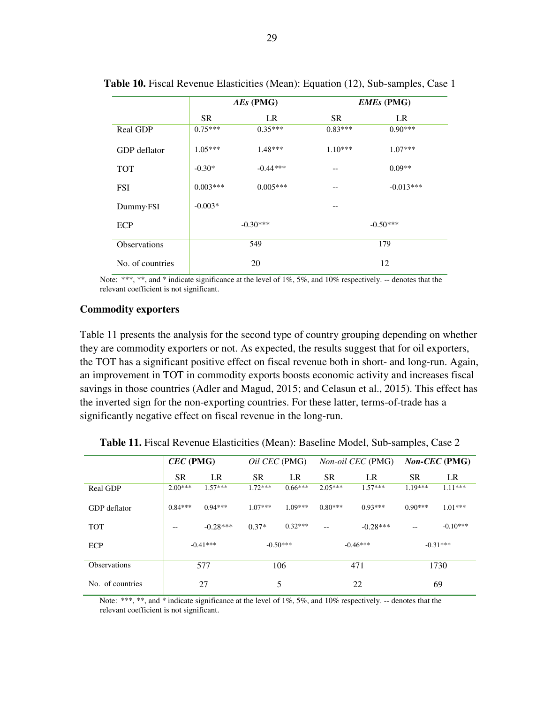|                  |            | $AEs$ (PMG) |           | <b>EMEs</b> (PMG) |
|------------------|------------|-------------|-----------|-------------------|
|                  | <b>SR</b>  | LR          | <b>SR</b> | LR                |
| <b>Real GDP</b>  | $0.75***$  | $0.35***$   | $0.83***$ | $0.90***$         |
| GDP deflator     | $1.05***$  | $1.48***$   | $1.10***$ | $1.07***$         |
| <b>TOT</b>       | $-0.30*$   | $-0.44***$  | $- -$     | $0.09**$          |
| <b>FSI</b>       | $0.003***$ | $0.005***$  |           | $-0.013***$       |
| Dummy·FSI        | $-0.003*$  |             | --        |                   |
| ECP              |            | $-0.30***$  |           | $-0.50***$        |
| Observations     |            | 549         |           | 179               |
| No. of countries |            | 20          |           | 12                |

**Table 10.** Fiscal Revenue Elasticities (Mean): Equation (12), Sub-samples, Case 1

#### **Commodity exporters**

Table 11 presents the analysis for the second type of country grouping depending on whether they are commodity exporters or not. As expected, the results suggest that for oil exporters, the TOT has a significant positive effect on fiscal revenue both in short- and long-run. Again, an improvement in TOT in commodity exports boosts economic activity and increases fiscal savings in those countries (Adler and Magud, 2015; and Celasun et al., 2015). This effect has the inverted sign for the non-exporting countries. For these latter, terms-of-trade has a significantly negative effect on fiscal revenue in the long-run.

|                     | $CEC$ (PMG) |            |           | <i>Oil CEC</i> (PMG) |            | <i>Non-oil CEC</i> (PMG) |           | <i>Non-CEC</i> (PMG) |  |
|---------------------|-------------|------------|-----------|----------------------|------------|--------------------------|-----------|----------------------|--|
|                     | <b>SR</b>   | LR.        | <b>SR</b> | LR.                  | <b>SR</b>  | LR.                      | <b>SR</b> | LR                   |  |
| Real GDP            | $2.00***$   | $1.57***$  | $1.72***$ | $0.66***$            | $2.05***$  | $1.57***$                | $1.19***$ | $1.11***$            |  |
| GDP deflator        | $0.84***$   | $0.94***$  | $1.07***$ | $1.09***$            | $0.80***$  | $0.93***$                | $0.90***$ | $1.01***$            |  |
| <b>TOT</b>          | --          | $-0.28***$ | $0.37*$   | $0.32***$            | $- -$      | $-0.28***$               | $-$       | $-0.10***$           |  |
| ECP                 |             | $-0.41***$ |           | $-0.50***$           | $-0.46***$ |                          |           | $-0.31***$           |  |
| <b>Observations</b> |             | 577        |           | 106                  | 471        |                          | 1730      |                      |  |
| No. of countries    |             | 27         |           | 5                    |            | 22                       |           | 69                   |  |

**Table 11.** Fiscal Revenue Elasticities (Mean): Baseline Model, Sub-samples, Case 2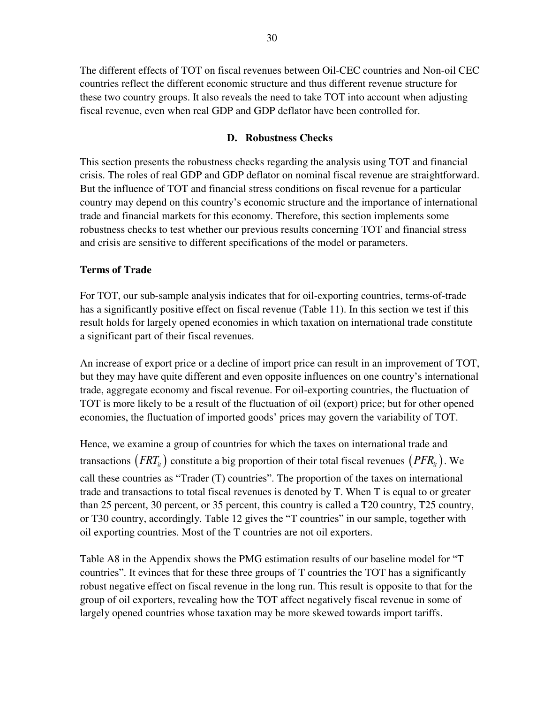The different effects of TOT on fiscal revenues between Oil-CEC countries and Non-oil CEC countries reflect the different economic structure and thus different revenue structure for these two country groups. It also reveals the need to take TOT into account when adjusting fiscal revenue, even when real GDP and GDP deflator have been controlled for.

#### **D. Robustness Checks**

This section presents the robustness checks regarding the analysis using TOT and financial crisis. The roles of real GDP and GDP deflator on nominal fiscal revenue are straightforward. But the influence of TOT and financial stress conditions on fiscal revenue for a particular country may depend on this country's economic structure and the importance of international trade and financial markets for this economy. Therefore, this section implements some robustness checks to test whether our previous results concerning TOT and financial stress and crisis are sensitive to different specifications of the model or parameters.

#### **Terms of Trade**

For TOT, our sub-sample analysis indicates that for oil-exporting countries, terms-of-trade has a significantly positive effect on fiscal revenue (Table 11). In this section we test if this result holds for largely opened economies in which taxation on international trade constitute a significant part of their fiscal revenues.

An increase of export price or a decline of import price can result in an improvement of TOT, but they may have quite different and even opposite influences on one country's international trade, aggregate economy and fiscal revenue. For oil-exporting countries, the fluctuation of TOT is more likely to be a result of the fluctuation of oil (export) price; but for other opened economies, the fluctuation of imported goods' prices may govern the variability of TOT.

Hence, we examine a group of countries for which the taxes on international trade and transactions  $(FRT<sub>i</sub>)$  constitute a big proportion of their total fiscal revenues  $(PFR<sub>i</sub>)$ . We call these countries as "Trader (T) countries". The proportion of the taxes on international trade and transactions to total fiscal revenues is denoted by T. When T is equal to or greater than 25 percent, 30 percent, or 35 percent, this country is called a T20 country, T25 country, or T30 country, accordingly. Table 12 gives the "T countries" in our sample, together with oil exporting countries. Most of the T countries are not oil exporters.

Table A8 in the Appendix shows the PMG estimation results of our baseline model for "T countries". It evinces that for these three groups of T countries the TOT has a significantly robust negative effect on fiscal revenue in the long run. This result is opposite to that for the group of oil exporters, revealing how the TOT affect negatively fiscal revenue in some of largely opened countries whose taxation may be more skewed towards import tariffs.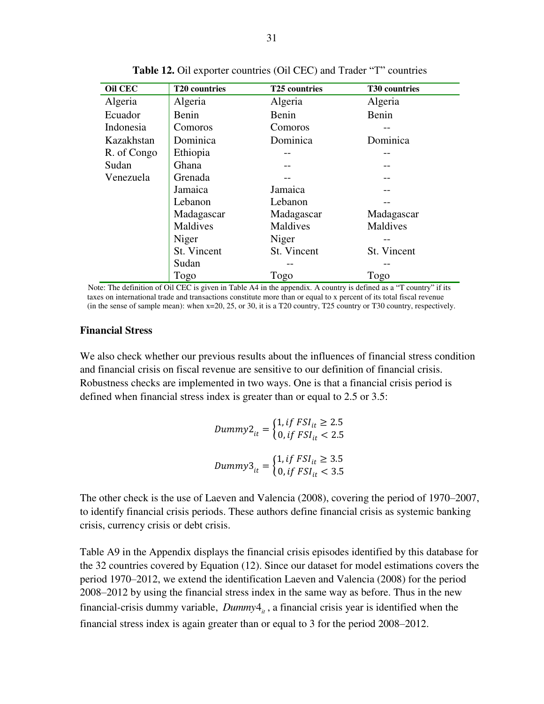| <b>Oil CEC</b> | T20 countries | <b>T25 countries</b> | T30 countries |
|----------------|---------------|----------------------|---------------|
| Algeria        | Algeria       | Algeria              | Algeria       |
| Ecuador        | Benin         | Benin                | Benin         |
| Indonesia      | Comoros       | Comoros              |               |
| Kazakhstan     | Dominica      | Dominica             | Dominica      |
| R. of Congo    | Ethiopia      |                      |               |
| Sudan          | Ghana         |                      |               |
| Venezuela      | Grenada       |                      |               |
|                | Jamaica       | Jamaica              |               |
|                | Lebanon       | Lebanon              |               |
|                | Madagascar    | Madagascar           | Madagascar    |
|                | Maldives      | Maldives             | Maldives      |
|                | Niger         | Niger                |               |
|                | St. Vincent   | St. Vincent          | St. Vincent   |
|                | Sudan         |                      |               |
|                | Togo          | Togo                 | Togo          |

**Table 12.** Oil exporter countries (Oil CEC) and Trader "T" countries

Note: The definition of Oil CEC is given in Table A4 in the appendix. A country is defined as a "T country" if its taxes on international trade and transactions constitute more than or equal to x percent of its total fiscal revenue (in the sense of sample mean): when x=20, 25, or 30, it is a T20 country, T25 country or T30 country, respectively.

#### **Financial Stress**

We also check whether our previous results about the influences of financial stress condition and financial crisis on fiscal revenue are sensitive to our definition of financial crisis. Robustness checks are implemented in two ways. One is that a financial crisis period is defined when financial stress index is greater than or equal to 2.5 or 3.5:

> $Dumm y2_{it} = \begin{cases} 1, \, tf\, FSI_{it} \geq 2.5 \\ 0, \, if\, FSI_{it} < 2.5 \end{cases}$ 0, if  $FSI_{it} < 2.5$ Dummy3<sub>it</sub> =  $\begin{cases} 1, \text{if } FSI_{it} \geq 3.5 \\ 0, \text{if } FSI_{it} < 3.5 \end{cases}$ 0, if  $FSI_{it} < 3.5$

The other check is the use of Laeven and Valencia (2008), covering the period of 1970–2007, to identify financial crisis periods. These authors define financial crisis as systemic banking crisis, currency crisis or debt crisis.

Table A9 in the Appendix displays the financial crisis episodes identified by this database for the 32 countries covered by Equation (12). Since our dataset for model estimations covers the period 1970–2012, we extend the identification Laeven and Valencia (2008) for the period 2008–2012 by using the financial stress index in the same way as before. Thus in the new financial-crisis dummy variable,  $D \text{ummy4}_{i}$ , a financial crisis year is identified when the financial stress index is again greater than or equal to 3 for the period 2008–2012.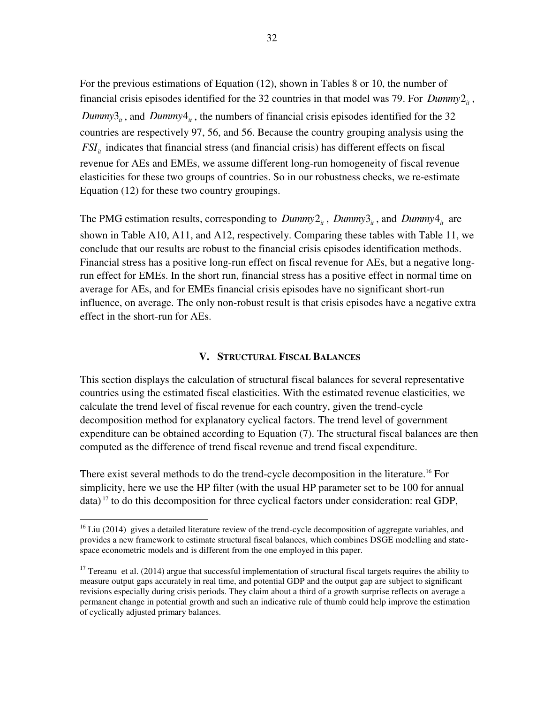For the previous estimations of Equation (12), shown in Tables 8 or 10, the number of financial crisis episodes identified for the 32 countries in that model was 79. For  $D \text{unim} y2_i$ , *Dummy*  $3<sub>ii</sub>$ , and *Dummy*  $4<sub>ii</sub>$ , the numbers of financial crisis episodes identified for the 32 countries are respectively 97, 56, and 56. Because the country grouping analysis using the  $FSI<sub>i</sub>$  indicates that financial stress (and financial crisis) has different effects on fiscal revenue for AEs and EMEs, we assume different long-run homogeneity of fiscal revenue elasticities for these two groups of countries. So in our robustness checks, we re-estimate Equation (12) for these two country groupings.

The PMG estimation results, corresponding to  $Dummy2_{it}$ ,  $Dummy3_{it}$ , and  $Dummy4_{it}$  are shown in Table A10, A11, and A12, respectively. Comparing these tables with Table 11, we conclude that our results are robust to the financial crisis episodes identification methods. Financial stress has a positive long-run effect on fiscal revenue for AEs, but a negative longrun effect for EMEs. In the short run, financial stress has a positive effect in normal time on average for AEs, and for EMEs financial crisis episodes have no significant short-run influence, on average. The only non-robust result is that crisis episodes have a negative extra effect in the short-run for AEs.

#### **V. STRUCTURAL FISCAL BALANCES**

This section displays the calculation of structural fiscal balances for several representative countries using the estimated fiscal elasticities. With the estimated revenue elasticities, we calculate the trend level of fiscal revenue for each country, given the trend-cycle decomposition method for explanatory cyclical factors. The trend level of government expenditure can be obtained according to Equation (7). The structural fiscal balances are then computed as the difference of trend fiscal revenue and trend fiscal expenditure.

There exist several methods to do the trend-cycle decomposition in the literature.<sup>16</sup> For simplicity, here we use the HP filter (with the usual HP parameter set to be 100 for annual  $data$ <sup>17</sup> to do this decomposition for three cyclical factors under consideration: real GDP,

<sup>&</sup>lt;sup>16</sup> Liu (2014) gives a detailed literature review of the trend-cycle decomposition of aggregate variables, and provides a new framework to estimate structural fiscal balances, which combines DSGE modelling and statespace econometric models and is different from the one employed in this paper.

 $17$  Tereanu et al. (2014) argue that successful implementation of structural fiscal targets requires the ability to measure output gaps accurately in real time, and potential GDP and the output gap are subject to significant revisions especially during crisis periods. They claim about a third of a growth surprise reflects on average a permanent change in potential growth and such an indicative rule of thumb could help improve the estimation of cyclically adjusted primary balances.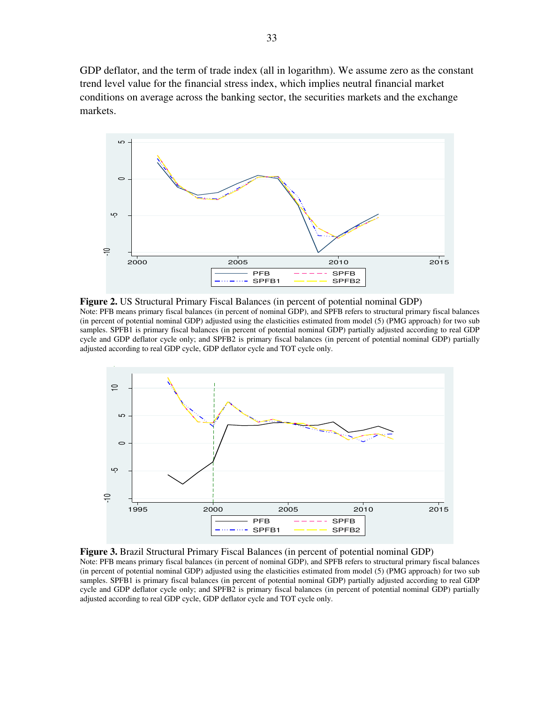GDP deflator, and the term of trade index (all in logarithm). We assume zero as the constant trend level value for the financial stress index, which implies neutral financial market conditions on average across the banking sector, the securities markets and the exchange markets.



**Figure 2.** US Structural Primary Fiscal Balances (in percent of potential nominal GDP) Note: PFB means primary fiscal balances (in percent of nominal GDP), and SPFB refers to structural primary fiscal balances (in percent of potential nominal GDP) adjusted using the elasticities estimated from model (5) (PMG approach) for two sub samples. SPFB1 is primary fiscal balances (in percent of potential nominal GDP) partially adjusted according to real GDP cycle and GDP deflator cycle only; and SPFB2 is primary fiscal balances (in percent of potential nominal GDP) partially adjusted according to real GDP cycle, GDP deflator cycle and TOT cycle only.



**Figure 3.** Brazil Structural Primary Fiscal Balances (in percent of potential nominal GDP) Note: PFB means primary fiscal balances (in percent of nominal GDP), and SPFB refers to structural primary fiscal balances (in percent of potential nominal GDP) adjusted using the elasticities estimated from model (5) (PMG approach) for two sub samples. SPFB1 is primary fiscal balances (in percent of potential nominal GDP) partially adjusted according to real GDP cycle and GDP deflator cycle only; and SPFB2 is primary fiscal balances (in percent of potential nominal GDP) partially adjusted according to real GDP cycle, GDP deflator cycle and TOT cycle only.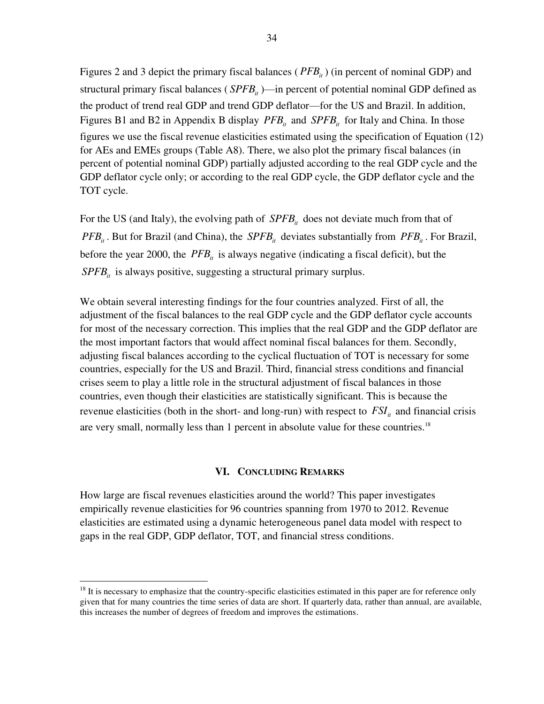Figures 2 and 3 depict the primary fiscal balances (*PFB<sub>it</sub>*) (in percent of nominal GDP) and structural primary fiscal balances ( $S P F B_{i}$ )—in percent of potential nominal GDP defined as the product of trend real GDP and trend GDP deflator—for the US and Brazil. In addition, Figures B1 and B2 in Appendix B display  $PFB_i$  and  $SPFB_i$  for Italy and China. In those figures we use the fiscal revenue elasticities estimated using the specification of Equation (12) for AEs and EMEs groups (Table A8). There, we also plot the primary fiscal balances (in percent of potential nominal GDP) partially adjusted according to the real GDP cycle and the GDP deflator cycle only; or according to the real GDP cycle, the GDP deflator cycle and the TOT cycle.

For the US (and Italy), the evolving path of  $SPEB<sub>it</sub>$  does not deviate much from that of *PFB<sub>it</sub>*. But for Brazil (and China), the *SPFB<sub>it</sub>* deviates substantially from *PFB<sub>it</sub>*. For Brazil, before the year 2000, the  $PFB_i$  is always negative (indicating a fiscal deficit), but the  $SPEB<sub>it</sub>$  is always positive, suggesting a structural primary surplus.

We obtain several interesting findings for the four countries analyzed. First of all, the adjustment of the fiscal balances to the real GDP cycle and the GDP deflator cycle accounts for most of the necessary correction. This implies that the real GDP and the GDP deflator are the most important factors that would affect nominal fiscal balances for them. Secondly, adjusting fiscal balances according to the cyclical fluctuation of TOT is necessary for some countries, especially for the US and Brazil. Third, financial stress conditions and financial crises seem to play a little role in the structural adjustment of fiscal balances in those countries, even though their elasticities are statistically significant. This is because the revenue elasticities (both in the short- and long-run) with respect to  $FSI<sub>i</sub>$  and financial crisis are very small, normally less than 1 percent in absolute value for these countries.<sup>18</sup>

#### **VI. CONCLUDING REMARKS**

How large are fiscal revenues elasticities around the world? This paper investigates empirically revenue elasticities for 96 countries spanning from 1970 to 2012. Revenue elasticities are estimated using a dynamic heterogeneous panel data model with respect to gaps in the real GDP, GDP deflator, TOT, and financial stress conditions.

 $18$  It is necessary to emphasize that the country-specific elasticities estimated in this paper are for reference only given that for many countries the time series of data are short. If quarterly data, rather than annual, are available, this increases the number of degrees of freedom and improves the estimations.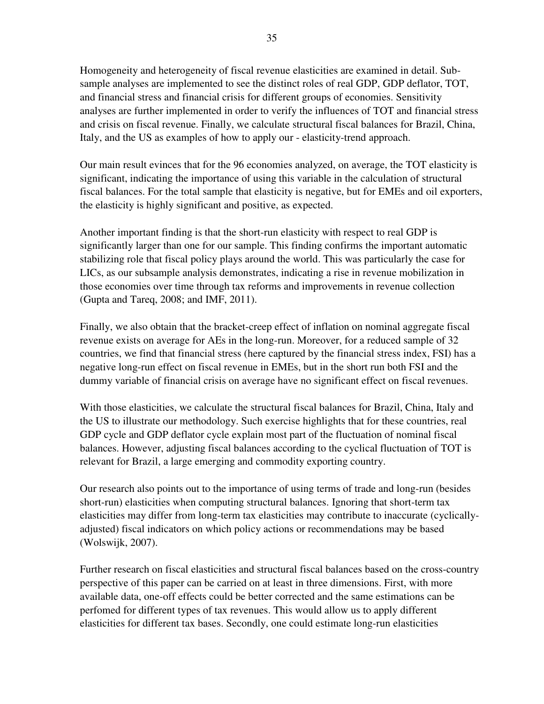Homogeneity and heterogeneity of fiscal revenue elasticities are examined in detail. Subsample analyses are implemented to see the distinct roles of real GDP, GDP deflator, TOT, and financial stress and financial crisis for different groups of economies. Sensitivity analyses are further implemented in order to verify the influences of TOT and financial stress and crisis on fiscal revenue. Finally, we calculate structural fiscal balances for Brazil, China, Italy, and the US as examples of how to apply our - elasticity-trend approach.

Our main result evinces that for the 96 economies analyzed, on average, the TOT elasticity is significant, indicating the importance of using this variable in the calculation of structural fiscal balances. For the total sample that elasticity is negative, but for EMEs and oil exporters, the elasticity is highly significant and positive, as expected.

Another important finding is that the short-run elasticity with respect to real GDP is significantly larger than one for our sample. This finding confirms the important automatic stabilizing role that fiscal policy plays around the world. This was particularly the case for LICs, as our subsample analysis demonstrates, indicating a rise in revenue mobilization in those economies over time through tax reforms and improvements in revenue collection (Gupta and Tareq, 2008; and IMF, 2011).

Finally, we also obtain that the bracket-creep effect of inflation on nominal aggregate fiscal revenue exists on average for AEs in the long-run. Moreover, for a reduced sample of 32 countries, we find that financial stress (here captured by the financial stress index, FSI) has a negative long-run effect on fiscal revenue in EMEs, but in the short run both FSI and the dummy variable of financial crisis on average have no significant effect on fiscal revenues.

With those elasticities, we calculate the structural fiscal balances for Brazil, China, Italy and the US to illustrate our methodology. Such exercise highlights that for these countries, real GDP cycle and GDP deflator cycle explain most part of the fluctuation of nominal fiscal balances. However, adjusting fiscal balances according to the cyclical fluctuation of TOT is relevant for Brazil, a large emerging and commodity exporting country.

Our research also points out to the importance of using terms of trade and long-run (besides short-run) elasticities when computing structural balances. Ignoring that short-term tax elasticities may differ from long-term tax elasticities may contribute to inaccurate (cyclicallyadjusted) fiscal indicators on which policy actions or recommendations may be based (Wolswijk, 2007).

Further research on fiscal elasticities and structural fiscal balances based on the cross-country perspective of this paper can be carried on at least in three dimensions. First, with more available data, one-off effects could be better corrected and the same estimations can be perfomed for different types of tax revenues. This would allow us to apply different elasticities for different tax bases. Secondly, one could estimate long-run elasticities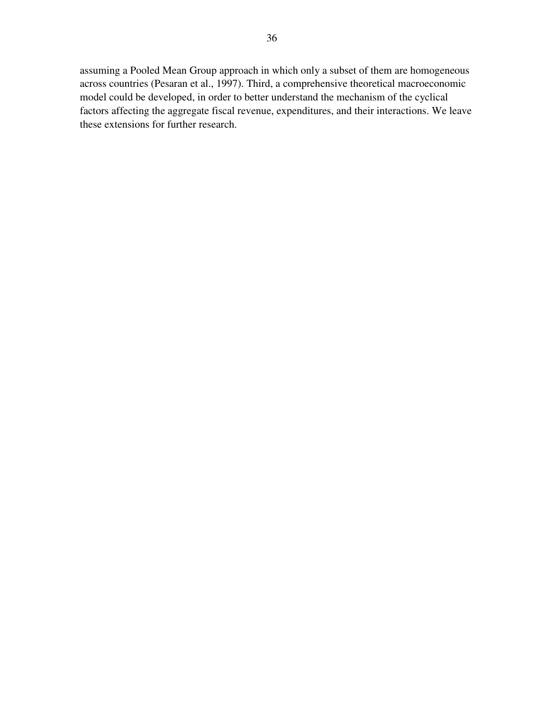assuming a Pooled Mean Group approach in which only a subset of them are homogeneous across countries (Pesaran et al., 1997). Third, a comprehensive theoretical macroeconomic model could be developed, in order to better understand the mechanism of the cyclical factors affecting the aggregate fiscal revenue, expenditures, and their interactions. We leave these extensions for further research.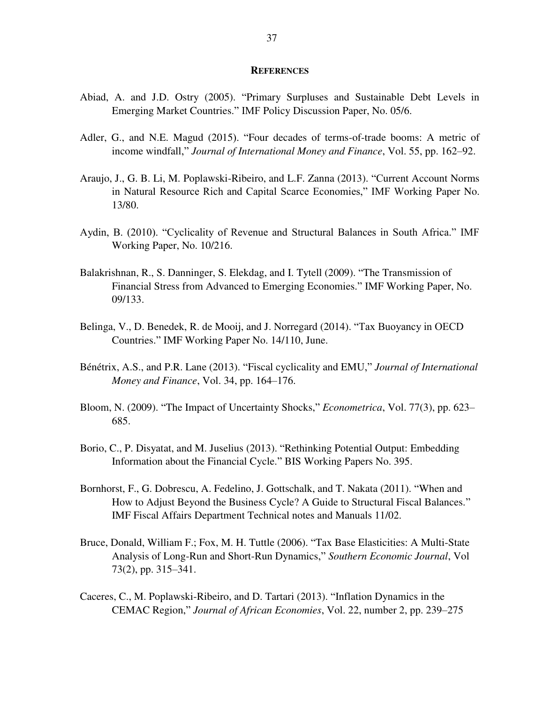#### **REFERENCES**

- Abiad, A. and J.D. Ostry (2005). "Primary Surpluses and Sustainable Debt Levels in Emerging Market Countries." IMF Policy Discussion Paper, No. 05/6.
- Adler, G., and N.E. Magud (2015). "Four decades of terms-of-trade booms: A metric of income windfall," *Journal of International Money and Finance*, Vol. 55, pp. 162–92.
- Araujo, J., G. B. Li, M. Poplawski-Ribeiro, and L.F. Zanna (2013). "Current Account Norms in Natural Resource Rich and Capital Scarce Economies," IMF Working Paper No. 13/80.
- Aydin, B. (2010). "Cyclicality of Revenue and Structural Balances in South Africa." IMF Working Paper, No. 10/216.
- Balakrishnan, R., S. Danninger, S. Elekdag, and I. Tytell (2009). "The Transmission of Financial Stress from Advanced to Emerging Economies." IMF Working Paper, No. 09/133.
- Belinga, V., D. Benedek, R. de Mooij, and J. Norregard (2014). "Tax Buoyancy in OECD Countries." IMF Working Paper No. 14/110, June.
- Bénétrix, A.S., and P.R. Lane (2013). "Fiscal cyclicality and EMU," *Journal of International Money and Finance*, Vol. 34, pp. 164–176.
- Bloom, N. (2009). "The Impact of Uncertainty Shocks," *Econometrica*, Vol. 77(3), pp. 623– 685.
- Borio, C., P. Disyatat, and M. Juselius (2013). "Rethinking Potential Output: Embedding Information about the Financial Cycle." BIS Working Papers No. 395.
- Bornhorst, F., G. Dobrescu, A. Fedelino, J. Gottschalk, and T. Nakata (2011). "When and How to Adjust Beyond the Business Cycle? A Guide to Structural Fiscal Balances." IMF Fiscal Affairs Department Technical notes and Manuals 11/02.
- Bruce, Donald, William F.; Fox, M. H. Tuttle (2006). "Tax Base Elasticities: A Multi-State Analysis of Long-Run and Short-Run Dynamics," *Southern Economic Journal*, Vol 73(2), pp. 315–341.
- Caceres, C., M. Poplawski-Ribeiro, and D. Tartari (2013). "Inflation Dynamics in the CEMAC Region," *Journal of African Economies*, Vol. 22, number 2, pp. 239–275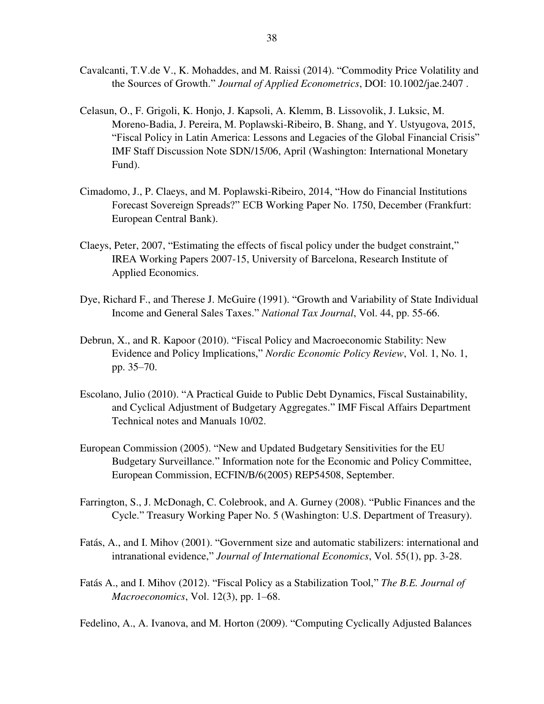- Cavalcanti, T.V.de V., K. Mohaddes, and M. Raissi (2014). "Commodity Price Volatility and the Sources of Growth." *Journal of Applied Econometrics*, DOI: 10.1002/jae.2407 .
- Celasun, O., F. Grigoli, K. Honjo, J. Kapsoli, A. Klemm, B. Lissovolik, J. Luksic, M. Moreno-Badia, J. Pereira, M. Poplawski-Ribeiro, B. Shang, and Y. Ustyugova, 2015, "Fiscal Policy in Latin America: Lessons and Legacies of the Global Financial Crisis" IMF Staff Discussion Note SDN/15/06, April (Washington: International Monetary Fund).
- Cimadomo, J., P. Claeys, and M. Poplawski-Ribeiro, 2014, "How do Financial Institutions Forecast Sovereign Spreads?" ECB Working Paper No. 1750, December (Frankfurt: European Central Bank).
- Claeys, Peter, 2007, "Estimating the effects of fiscal policy under the budget constraint," IREA Working Papers 2007-15, University of Barcelona, Research Institute of Applied Economics.
- Dye, Richard F., and Therese J. McGuire (1991). "Growth and Variability of State Individual Income and General Sales Taxes." *National Tax Journal*, Vol. 44, pp. 55-66.
- Debrun, X., and R. Kapoor (2010). "Fiscal Policy and Macroeconomic Stability: New Evidence and Policy Implications," *Nordic Economic Policy Review*, Vol. 1, No. 1, pp. 35–70.
- Escolano, Julio (2010). "A Practical Guide to Public Debt Dynamics, Fiscal Sustainability, and Cyclical Adjustment of Budgetary Aggregates." IMF Fiscal Affairs Department Technical notes and Manuals 10/02.
- European Commission (2005). "New and Updated Budgetary Sensitivities for the EU Budgetary Surveillance." Information note for the Economic and Policy Committee, European Commission, ECFIN/B/6(2005) REP54508, September.
- Farrington, S., J. McDonagh, C. Colebrook, and A. Gurney (2008). "Public Finances and the Cycle." Treasury Working Paper No. 5 (Washington: U.S. Department of Treasury).
- Fatás, A., and I. Mihov (2001). "Government size and automatic stabilizers: international and intranational evidence," *Journal of International Economics*, Vol. 55(1), pp. 3-28.
- Fatás A., and I. Mihov (2012). "Fiscal Policy as a Stabilization Tool," *The B.E. Journal of Macroeconomics*, Vol. 12(3), pp. 1–68.
- Fedelino, A., A. Ivanova, and M. Horton (2009). "Computing Cyclically Adjusted Balances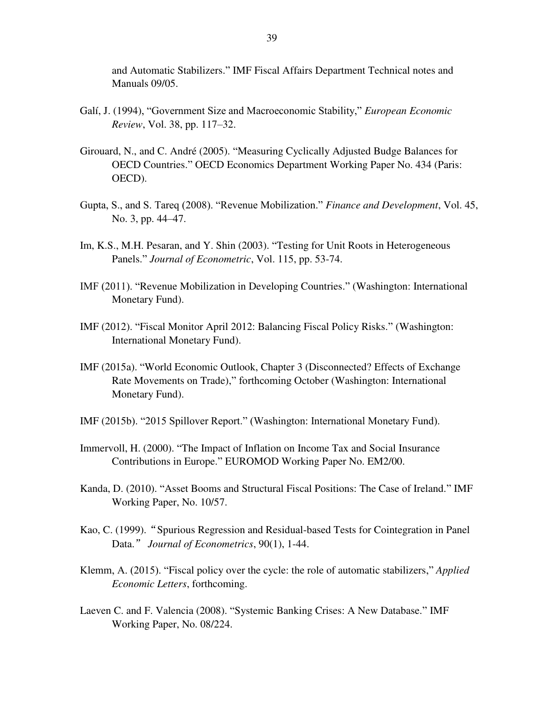and Automatic Stabilizers." IMF Fiscal Affairs Department Technical notes and Manuals 09/05.

- Galí, J. (1994), "Government Size and Macroeconomic Stability," *European Economic Review*, Vol. 38, pp. 117–32.
- Girouard, N., and C. André (2005). "Measuring Cyclically Adjusted Budge Balances for OECD Countries." OECD Economics Department Working Paper No. 434 (Paris: OECD).
- Gupta, S., and S. Tareq (2008). "Revenue Mobilization." *Finance and Development*, Vol. 45, No. 3, pp. 44–47.
- Im, K.S., M.H. Pesaran, and Y. Shin (2003). "Testing for Unit Roots in Heterogeneous Panels." *Journal of Econometric*, Vol. 115, pp. 53-74.
- IMF (2011). "Revenue Mobilization in Developing Countries." (Washington: International Monetary Fund).
- IMF (2012). "Fiscal Monitor April 2012: Balancing Fiscal Policy Risks." (Washington: International Monetary Fund).
- IMF (2015a). "World Economic Outlook, Chapter 3 (Disconnected? Effects of Exchange Rate Movements on Trade)," forthcoming October (Washington: International Monetary Fund).
- IMF (2015b). "2015 Spillover Report." (Washington: International Monetary Fund).
- Immervoll, H. (2000). "The Impact of Inflation on Income Tax and Social Insurance Contributions in Europe." EUROMOD Working Paper No. EM2/00.
- Kanda, D. (2010). "Asset Booms and Structural Fiscal Positions: The Case of Ireland." IMF Working Paper, No. 10/57.
- Kao, C. (1999)."Spurious Regression and Residual-based Tests for Cointegration in Panel Data." *Journal of Econometrics*, 90(1), 1-44.
- Klemm, A. (2015). "Fiscal policy over the cycle: the role of automatic stabilizers," *Applied Economic Letters*, forthcoming.
- Laeven C. and F. Valencia (2008). "Systemic Banking Crises: A New Database." IMF Working Paper, No. 08/224.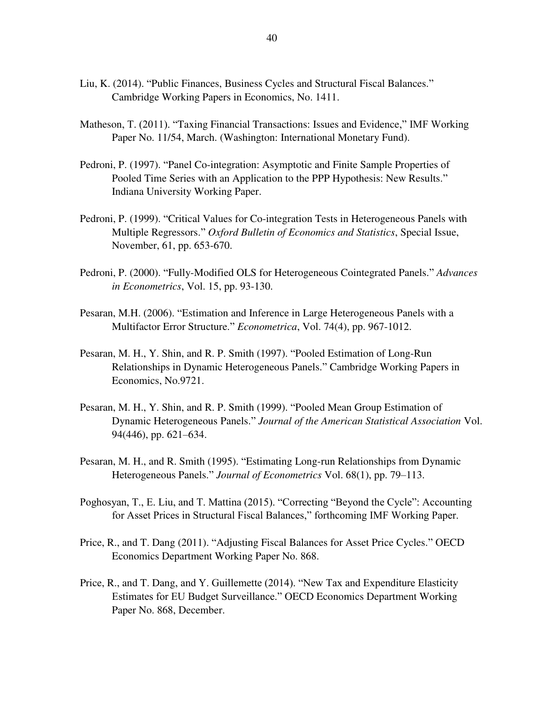- Liu, K. (2014). "Public Finances, Business Cycles and Structural Fiscal Balances." Cambridge Working Papers in Economics, No. 1411.
- Matheson, T. (2011). "Taxing Financial Transactions: Issues and Evidence," IMF Working Paper No. 11/54, March. (Washington: International Monetary Fund).
- Pedroni, P. (1997). "Panel Co-integration: Asymptotic and Finite Sample Properties of Pooled Time Series with an Application to the PPP Hypothesis: New Results." Indiana University Working Paper.
- Pedroni, P. (1999). "Critical Values for Co-integration Tests in Heterogeneous Panels with Multiple Regressors." *Oxford Bulletin of Economics and Statistics*, Special Issue, November, 61, pp. 653-670.
- Pedroni, P. (2000). "Fully-Modified OLS for Heterogeneous Cointegrated Panels." *Advances in Econometrics*, Vol. 15, pp. 93-130.
- Pesaran, M.H. (2006). "Estimation and Inference in Large Heterogeneous Panels with a Multifactor Error Structure." *Econometrica*, Vol. 74(4), pp. 967-1012.
- Pesaran, M. H., Y. Shin, and R. P. Smith (1997). "Pooled Estimation of Long-Run Relationships in Dynamic Heterogeneous Panels." Cambridge Working Papers in Economics, No.9721.
- Pesaran, M. H., Y. Shin, and R. P. Smith (1999). "Pooled Mean Group Estimation of Dynamic Heterogeneous Panels." *Journal of the American Statistical Association* Vol. 94(446), pp. 621–634.
- Pesaran, M. H., and R. Smith (1995). "Estimating Long-run Relationships from Dynamic Heterogeneous Panels." *Journal of Econometrics* Vol. 68(1), pp. 79–113.
- Poghosyan, T., E. Liu, and T. Mattina (2015). "Correcting "Beyond the Cycle": Accounting for Asset Prices in Structural Fiscal Balances," forthcoming IMF Working Paper.
- Price, R., and T. Dang (2011). "Adjusting Fiscal Balances for Asset Price Cycles." OECD Economics Department Working Paper No. 868.
- Price, R., and T. Dang, and Y. Guillemette (2014). "New Tax and Expenditure Elasticity Estimates for EU Budget Surveillance." OECD Economics Department Working Paper No. 868, December.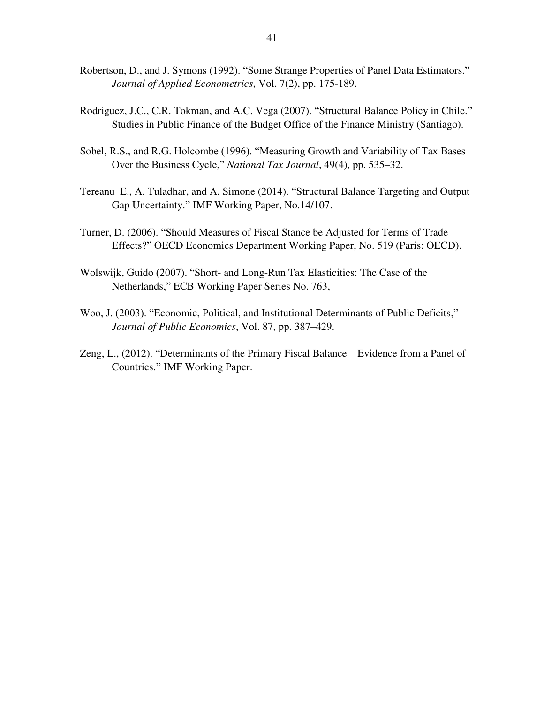- Robertson, D., and J. Symons (1992). "Some Strange Properties of Panel Data Estimators." *Journal of Applied Econometrics*, Vol. 7(2), pp. 175-189.
- Rodriguez, J.C., C.R. Tokman, and A.C. Vega (2007). "Structural Balance Policy in Chile." Studies in Public Finance of the Budget Office of the Finance Ministry (Santiago).
- Sobel, R.S., and R.G. Holcombe (1996). "Measuring Growth and Variability of Tax Bases Over the Business Cycle," *National Tax Journal*, 49(4), pp. 535–32.
- Tereanu E., A. Tuladhar, and A. Simone (2014). "Structural Balance Targeting and Output Gap Uncertainty." IMF Working Paper, No.14/107.
- Turner, D. (2006). "Should Measures of Fiscal Stance be Adjusted for Terms of Trade Effects?" OECD Economics Department Working Paper, No. 519 (Paris: OECD).
- Wolswijk, Guido (2007). "Short- and Long-Run Tax Elasticities: The Case of the Netherlands," ECB Working Paper Series No. 763,
- Woo, J. (2003). "Economic, Political, and Institutional Determinants of Public Deficits," *Journal of Public Economics*, Vol. 87, pp. 387–429.
- Zeng, L., (2012). "Determinants of the Primary Fiscal Balance—Evidence from a Panel of Countries." IMF Working Paper.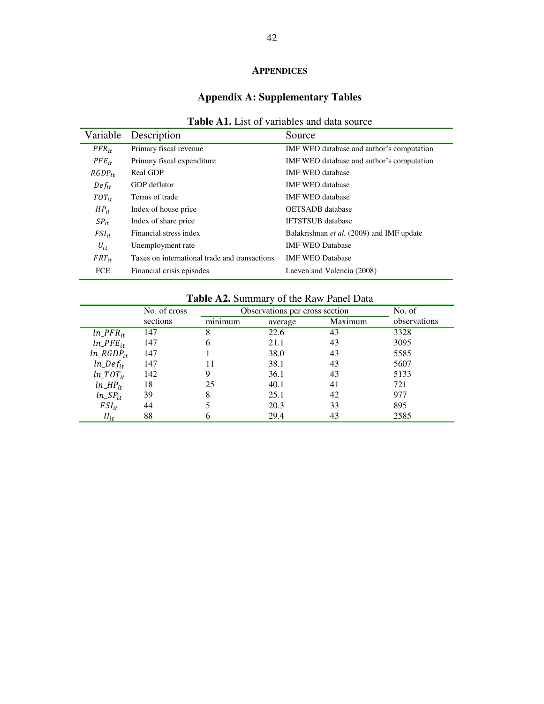## **APPENDICES**

## **Appendix A: Supplementary Tables**

|             | Variable Description                          | Source                                    |
|-------------|-----------------------------------------------|-------------------------------------------|
| $PFR_{it}$  | Primary fiscal revenue                        | IMF WEO database and author's computation |
| $PFE_{it}$  | Primary fiscal expenditure                    | IMF WEO database and author's computation |
| $RGDP_{it}$ | <b>Real GDP</b>                               | <b>IMF WEO</b> database                   |
| $Def_{it}$  | GDP deflator                                  | <b>IMF WEO</b> database                   |
| $TOT_{it}$  | Terms of trade                                | <b>IMF WEO</b> database                   |
| $HP_{it}$   | Index of house price                          | <b>OETSADB</b> database                   |
| $SP_{it}$   | Index of share price                          | <b>IFTSTSUB</b> database                  |
| $FSI_{it}$  | Financial stress index                        | Balakrishnan et al. (2009) and IMF update |
| $U_{it}$    | Unemployment rate                             | <b>IMF WEO Database</b>                   |
| $FRT_{it}$  | Taxes on international trade and transactions | <b>IMF WEO Database</b>                   |
| <b>FCE</b>  | Financial crisis episodes                     | Laeven and Valencia (2008)                |

|--|

## **Table A2.** Summary of the Raw Panel Data

|                 | No. of cross |         | Observations per cross section |         |              |  |  |  |
|-----------------|--------------|---------|--------------------------------|---------|--------------|--|--|--|
|                 | sections     | minimum | average                        | Maximum | observations |  |  |  |
| $ln\_PFR_{it}$  | 147          | 8       | 22.6                           | 43      | 3328         |  |  |  |
| $ln\_PFE_{it}$  | 147          | 6       | 21.1                           | 43      | 3095         |  |  |  |
| $ln\_RGDP_{it}$ | 147          |         | 38.0                           | 43      | 5585         |  |  |  |
| $ln\_Def_{it}$  | 147          | 11      | 38.1                           | 43      | 5607         |  |  |  |
| $ln\_TOT_{it}$  | 142          | 9       | 36.1                           | 43      | 5133         |  |  |  |
| $ln\_HP_{it}$   | 18           | 25      | 40.1                           | 41      | 721          |  |  |  |
| $ln\_SP_{it}$   | 39           | 8       | 25.1                           | 42      | 977          |  |  |  |
| $FSI_{it}$      | 44           |         | 20.3                           | 33      | 895          |  |  |  |
| $U_{it}$        | 88           |         | 29.4                           | 43      | 2585         |  |  |  |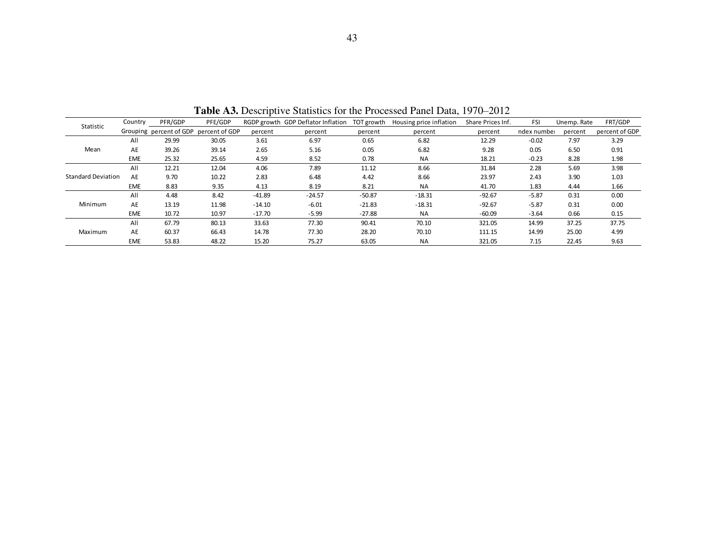| Statistic                 | Country    | PFR/GDP                 | PFE/GDP        |          | RGDP growth GDP Deflator Inflation | TOT growth | Housing price inflation | Share Prices Inf. | <b>FSI</b>  | Unemp. Rate | FRT/GDP        |
|---------------------------|------------|-------------------------|----------------|----------|------------------------------------|------------|-------------------------|-------------------|-------------|-------------|----------------|
|                           |            | Grouping percent of GDP | percent of GDP | percent  | percent                            | percent    | percent                 | percent           | ndex number | percent     | percent of GDP |
|                           | All        | 29.99                   | 30.05          | 3.61     | 6.97                               | 0.65       | 6.82                    | 12.29             | $-0.02$     | 7.97        | 3.29           |
| Mean                      | AE         | 39.26                   | 39.14          | 2.65     | 5.16                               | 0.05       | 6.82                    | 9.28              | 0.05        | 6.50        | 0.91           |
|                           | <b>EME</b> | 25.32                   | 25.65          | 4.59     | 8.52                               | 0.78       | <b>NA</b>               | 18.21             | $-0.23$     | 8.28        | 1.98           |
|                           | All        | 12.21                   | 12.04          | 4.06     | 7.89                               | 11.12      | 8.66                    | 31.84             | 2.28        | 5.69        | 3.98           |
| <b>Standard Deviation</b> | AE         | 9.70                    | 10.22          | 2.83     | 6.48                               | 4.42       | 8.66                    | 23.97             | 2.43        | 3.90        | 1.03           |
|                           | <b>EME</b> | 8.83                    | 9.35           | 4.13     | 8.19                               | 8.21       | <b>NA</b>               | 41.70             | 1.83        | 4.44        | 1.66           |
|                           | All        | 4.48                    | 8.42           | $-41.89$ | $-24.57$                           | $-50.87$   | $-18.31$                | $-92.67$          | $-5.87$     | 0.31        | 0.00           |
| Minimum                   | AE         | 13.19                   | 11.98          | $-14.10$ | $-6.01$                            | $-21.83$   | $-18.31$                | $-92.67$          | $-5.87$     | 0.31        | 0.00           |
|                           | <b>EME</b> | 10.72                   | 10.97          | $-17.70$ | $-5.99$                            | $-27.88$   | <b>NA</b>               | $-60.09$          | $-3.64$     | 0.66        | 0.15           |
|                           | All        | 67.79                   | 80.13          | 33.63    | 77.30                              | 90.41      | 70.10                   | 321.05            | 14.99       | 37.25       | 37.75          |
| Maximum                   | AE         | 60.37                   | 66.43          | 14.78    | 77.30                              | 28.20      | 70.10                   | 111.15            | 14.99       | 25.00       | 4.99           |
|                           | <b>EME</b> | 53.83                   | 48.22          | 15.20    | 75.27                              | 63.05      | <b>NA</b>               | 321.05            | 7.15        | 22.45       | 9.63           |

**Table A3.** Descriptive Statistics for the Processed Panel Data, 1970–2012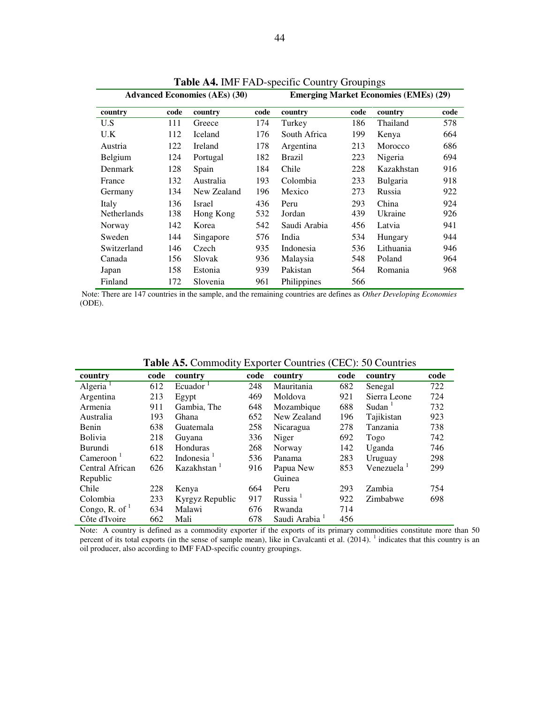|                    |      | <b>Advanced Economies (AEs) (30)</b> |      | <b>Emerging Market Economies (EMEs) (29)</b> |      |                 |      |  |
|--------------------|------|--------------------------------------|------|----------------------------------------------|------|-----------------|------|--|
| country            | code | country                              | code | country                                      | code | country         | code |  |
| U.S                | 111  | Greece                               | 174  | Turkey                                       | 186  | Thailand        | 578  |  |
| U.K                | 112  | Iceland                              | 176  | South Africa                                 | 199  | Kenya           | 664  |  |
| Austria            | 122  | Ireland                              | 178  | Argentina                                    | 213  | Morocco         | 686  |  |
| Belgium            | 124  | Portugal                             | 182  | Brazil                                       | 223  | Nigeria         | 694  |  |
| Denmark            | 128  | Spain                                | 184  | Chile                                        | 228  | Kazakhstan      | 916  |  |
| France             | 132  | Australia                            | 193  | Colombia                                     | 233  | <b>Bulgaria</b> | 918  |  |
| Germany            | 134  | New Zealand                          | 196  | Mexico                                       | 273  | Russia          | 922  |  |
| Italy              | 136  | Israel                               | 436  | Peru                                         | 293  | China           | 924  |  |
| <b>Netherlands</b> | 138  | Hong Kong                            | 532  | Jordan                                       | 439  | Ukraine         | 926  |  |
| Norway             | 142  | Korea                                | 542  | Saudi Arabia                                 | 456  | Latvia          | 941  |  |
| Sweden             | 144  | Singapore                            | 576  | India                                        | 534  | Hungary         | 944  |  |
| Switzerland        | 146  | Czech                                | 935  | Indonesia                                    | 536  | Lithuania       | 946  |  |
| Canada             | 156  | Slovak                               | 936  | Malaysia                                     | 548  | Poland          | 964  |  |
| Japan              | 158  | Estonia                              | 939  | Pakistan                                     | 564  | Romania         | 968  |  |
| Finland            | 172  | Slovenia                             | 961  | Philippines                                  | 566  |                 |      |  |

**Table A4.** IMF FAD-specific Country Groupings

Note: There are 147 countries in the sample, and the remaining countries are defines as *Other Developing Economies* (ODE).

| <b>Twore</b> they commodity Exposite Countries (CEC), so countries |      |                         |      |                     |      |                        |      |
|--------------------------------------------------------------------|------|-------------------------|------|---------------------|------|------------------------|------|
| country                                                            | code | country                 | code | country             | code | country                | code |
| Algeria <sup>1</sup>                                               | 612  | Ecuador $1$             | 248  | Mauritania          | 682  | Senegal                | 722  |
| Argentina                                                          | 213  | Egypt                   | 469  | Moldova             | 921  | Sierra Leone           | 724  |
| Armenia                                                            | 911  | Gambia, The             | 648  | Mozambique          | 688  | Sudan <sup>1</sup>     | 732  |
| Australia                                                          | 193  | Ghana                   | 652  | New Zealand         | 196  | Tajikistan             | 923  |
| Benin                                                              | 638  | Guatemala               | 258  | Nicaragua           | 278  | Tanzania               | 738  |
| <b>Bolivia</b>                                                     | 218  | Guyana                  | 336  | Niger               | 692  | Togo                   | 742  |
| Burundi                                                            | 618  | Honduras                | 268  | Norway              | 142  | Uganda                 | 746  |
| $C$ ameroon $^1$                                                   | 622  | Indonesia <sup>1</sup>  | 536  | Panama              | 283  | Uruguay                | 298  |
| Central African                                                    | 626  | Kazakhstan <sup>1</sup> | 916  | Papua New           | 853  | Venezuela <sup>1</sup> | 299  |
| Republic                                                           |      |                         |      | Guinea              |      |                        |      |
| Chile                                                              | 228  | Kenya                   | 664  | Peru                | 293  | Zambia                 | 754  |
| Colombia                                                           | 233  | Kyrgyz Republic         | 917  | Russia <sup>1</sup> | 922  | Zimbabwe               | 698  |
| Congo, R. of $1$                                                   | 634  | Malawi                  | 676  | Rwanda              | 714  |                        |      |
| Côte d'Ivoire                                                      | 662  | Mali                    | 678  | Saudi Arabia        | 456  |                        |      |

**Table A5.** Commodity Exporter Countries (CEC): 50 Countries

Note: A country is defined as a commodity exporter if the exports of its primary commodities constitute more than 50 percent of its total exports (in the sense of sample mean), like in Cavalcanti et al.  $(2014)$ .  $\frac{1}{1}$  indicates that this country is an oil producer, also according to IMF FAD-specific country groupings.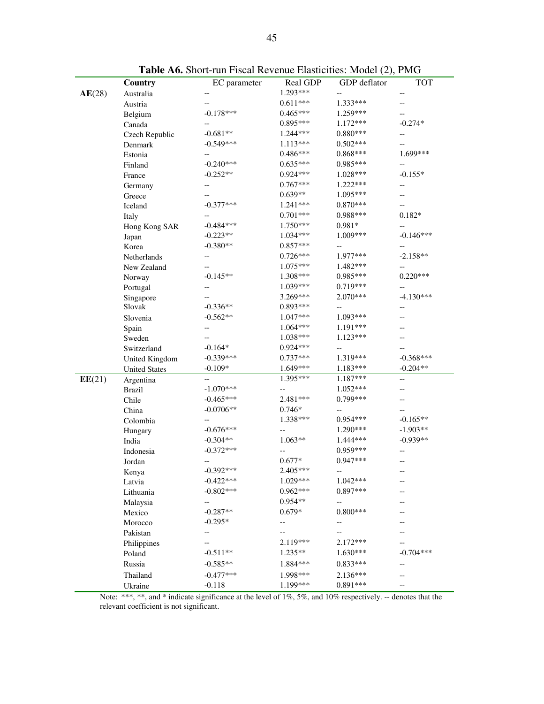|        | Country              | EC parameter | <b>Real GDP</b> | GDP deflator | <b>TOT</b>  |
|--------|----------------------|--------------|-----------------|--------------|-------------|
| AE(28) | Australia            |              | 1.293***        |              |             |
|        | Austria              |              | $0.611***$      | $1.333***$   |             |
|        | Belgium              | $-0.178***$  | $0.465***$      | 1.259***     |             |
|        | Canada               |              | 0.895***        | 1.172***     | $-0.274*$   |
|        | Czech Republic       | $-0.681**$   | 1.244***        | $0.880***$   | --          |
|        | Denmark              | $-0.549***$  | $1.113***$      | $0.502***$   |             |
|        | Estonia              |              | $0.486***$      | $0.868***$   | 1.699***    |
|        | Finland              | $-0.240***$  | $0.635***$      | $0.985***$   | --          |
|        | France               | $-0.252**$   | $0.924***$      | 1.028***     | $-0.155*$   |
|        | Germany              | --           | $0.767***$      | 1.222***     | --          |
|        | Greece               |              | $0.639**$       | 1.095***     | --          |
|        | Iceland              | $-0.377***$  | $1.241***$      | $0.870***$   |             |
|        | Italy                |              | $0.701***$      | 0.988***     | $0.182*$    |
|        | Hong Kong SAR        | $-0.484***$  | 1.750***        | 0.981*       |             |
|        | Japan                | $-0.223**$   | 1.034***        | 1.009***     | $-0.146***$ |
|        | Korea                | $-0.380**$   | $0.857***$      |              | --          |
|        | Netherlands          |              | $0.726***$      | 1.977***     | $-2.158**$  |
|        | New Zealand          |              | 1.075***        | 1.482***     |             |
|        | Norway               | $-0.145**$   | 1.308***        | $0.985***$   | $0.220***$  |
|        | Portugal             |              | $1.039***$      | $0.719***$   |             |
|        | Singapore            |              | 3.269***        | 2.070***     | $-4.130***$ |
|        | Slovak               | $-0.336**$   | $0.893***$      |              |             |
|        | Slovenia             | $-0.562**$   | $1.047***$      | 1.093***     |             |
|        | Spain                |              | $1.064***$      | 1.191***     |             |
|        | Sweden               |              | 1.038***        | $1.123***$   |             |
|        | Switzerland          | $-0.164*$    | $0.924***$      |              |             |
|        | United Kingdom       | $-0.339***$  | $0.737***$      | 1.319***     | $-0.368***$ |
|        | <b>United States</b> | $-0.109*$    | $1.649***$      | 1.183***     | $-0.204**$  |
| EE(21) | Argentina            |              | $1.395***$      | 1.187***     | --          |
|        | <b>Brazil</b>        | $-1.070***$  | --              | $1.052***$   |             |
|        | Chile                | $-0.465***$  | 2.481 ***       | 0.799***     |             |
|        | China                | $-0.0706**$  | $0.746*$        |              |             |
|        | Colombia             |              | 1.338***        | $0.954***$   | $-0.165**$  |
|        | Hungary              | $-0.676***$  | --              | 1.290***     | $-1.903**$  |
|        | India                | $-0.304**$   | $1.063**$       | 1.444 ***    | $-0.939**$  |
|        | Indonesia            | $-0.372***$  |                 | $0.959***$   |             |
|        | Jordan               |              | $0.677*$        | $0.947***$   |             |
|        | Kenya                | $-0.392***$  | 2.405***        |              |             |
|        | Latvia               | $-0.422***$  | $1.029***$      | $1.042***$   |             |
|        | Lithuania            | $-0.802***$  | $0.962***$      | $0.897***$   |             |
|        | Malaysia             |              | $0.954**$       | --           |             |
|        | Mexico               | $-0.287**$   | $0.679*$        | $0.800***$   |             |
|        | Morocco              | $-0.295*$    | --              | --           |             |
|        | Pakistan             | --           |                 |              |             |
|        | Philippines          |              | 2.119***        | $2.172***$   |             |
|        | Poland               | $-0.511**$   | 1.235**         | $1.630***$   | $-0.704***$ |
|        | Russia               | $-0.585**$   | 1.884***        | $0.833***$   | $-$         |
|        | Thailand             | $-0.477***$  | 1.998***        | $2.136***$   |             |
|        | Ukraine              | $-0.118$     | 1.199***        | $0.891***$   |             |

**Table A6.** Short-run Fiscal Revenue Elasticities: Model (2), PMG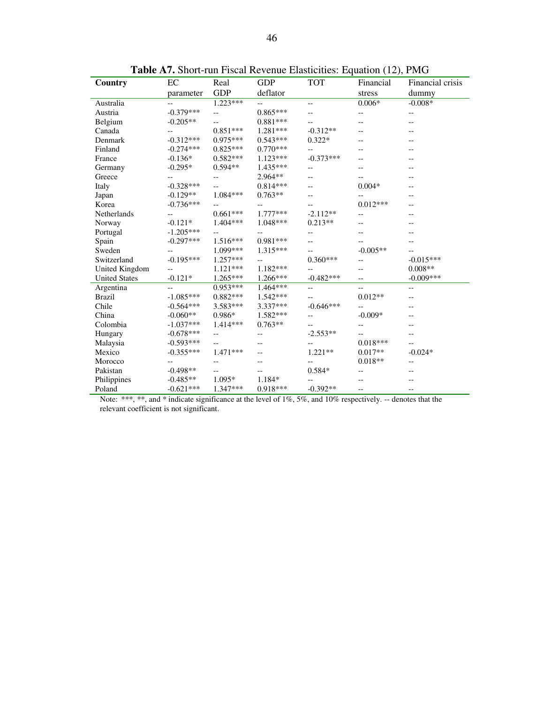| Country              | EC          | Real       | <b>GDP</b> | <b>TOT</b>  | Financial  | Financial crisis |
|----------------------|-------------|------------|------------|-------------|------------|------------------|
|                      | parameter   | <b>GDP</b> | deflator   |             | stress     | dummy            |
| Australia            | --          | $1.223***$ | --         | --          | $0.006*$   | $-0.008*$        |
| Austria              | $-0.379***$ | $-$        | $0.865***$ |             |            | --               |
| Belgium              | $-0.205**$  |            | $0.881***$ |             |            |                  |
| Canada               | --          | $0.851***$ | 1.281***   | $-0.312**$  |            |                  |
| Denmark              | $-0.312***$ | $0.975***$ | $0.543***$ | $0.322*$    |            |                  |
| Finland              | $-0.274***$ | $0.825***$ | $0.770***$ |             |            |                  |
| France               | $-0.136*$   | $0.582***$ | $1.123***$ | $-0.373***$ | --         |                  |
| Germany              | $-0.295*$   | $0.594**$  | 1.435***   |             |            |                  |
| Greece               | --          | --         | 2.964**    |             |            |                  |
| Italy                | $-0.328***$ |            | $0.814***$ |             | $0.004*$   |                  |
| Japan                | $-0.129**$  | $1.084***$ | $0.763**$  |             |            |                  |
| Korea                | $-0.736***$ |            |            |             | $0.012***$ |                  |
| Netherlands          |             | $0.661***$ | $1.777***$ | $-2.112**$  | --         |                  |
| Norway               | $-0.121*$   | $1.404***$ | 1.048***   | $0.213**$   |            |                  |
| Portugal             | $-1.205***$ | $-$        |            |             |            |                  |
| Spain                | $-0.297***$ | 1.516***   | $0.981***$ |             |            |                  |
| Sweden               |             | 1.099***   | $1.315***$ |             | $-0.005**$ |                  |
| Switzerland          | $-0.195***$ | $1.257***$ |            | $0.360***$  |            | $-0.015***$      |
| United Kingdom       | $-$         | $1.121***$ | $1.182***$ |             |            | $0.008**$        |
| <b>United States</b> | $-0.121*$   | $1.265***$ | $1.266***$ | $-0.482***$ | --         | $-0.009***$      |
| Argentina            | --          | $0.953***$ | $1.464***$ | --          | --         | --               |
| <b>Brazil</b>        | $-1.085***$ | $0.882***$ | 1.542***   |             | $0.012**$  |                  |
| Chile                | $-0.564***$ | 3.583***   | 3.337***   | $-0.646***$ | --         |                  |
| China                | $-0.060**$  | $0.986*$   | 1.582***   | --          | $-0.009*$  |                  |
| Colombia             | $-1.037***$ | $1.414***$ | $0.763**$  |             |            |                  |
| Hungary              | $-0.678***$ | $- -$      | --         | $-2.553**$  |            |                  |
| Malaysia             | $-0.593***$ | --         |            |             | $0.018***$ |                  |
| Mexico               | $-0.355***$ | $1.471***$ |            | $1.221**$   | $0.017**$  | $-0.024*$        |
| Morocco              |             | --         |            |             | $0.018**$  | --               |
| Pakistan             | $-0.498**$  | --         |            | $0.584*$    |            |                  |
| Philippines          | $-0.485**$  | 1.095*     | 1.184*     |             |            |                  |
| Poland               | $-0.621***$ | $1.347***$ | $0.918***$ | $-0.392**$  | --         |                  |

**Table A7.** Short-run Fiscal Revenue Elasticities: Equation (12), PMG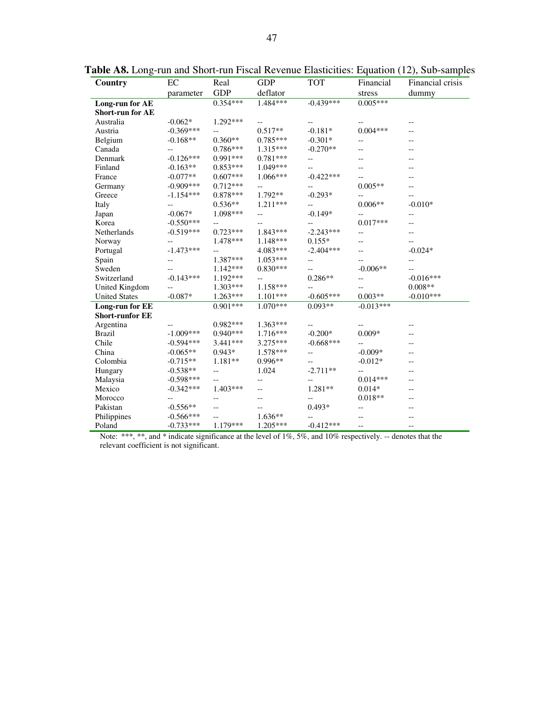| Country                 | EC          | Real       | <b>GDP</b> | <b>TOT</b>               | Financial          | Financial crisis |
|-------------------------|-------------|------------|------------|--------------------------|--------------------|------------------|
|                         | parameter   | <b>GDP</b> | deflator   |                          | stress             | dummy            |
| Long-run for AE         |             | $0.354***$ | 1.484***   | $-0.439***$              | $0.005***$         |                  |
| <b>Short-run for AE</b> |             |            |            |                          |                    |                  |
| Australia               | $-0.062*$   | 1.292***   | $-$        |                          |                    | --               |
| Austria                 | $-0.369***$ |            | $0.517**$  | $-0.181*$                | $0.004***$         |                  |
| Belgium                 | $-0.168**$  | $0.360**$  | $0.785***$ | $-0.301*$                | --                 |                  |
| Canada                  | $-$         | $0.786***$ | $1.315***$ | $-0.270**$               | --                 |                  |
| Denmark                 | $-0.126***$ | $0.991***$ | $0.781***$ | --                       |                    |                  |
| Finland                 | $-0.163**$  | $0.853***$ | 1.049***   |                          |                    |                  |
| France                  | $-0.077**$  | $0.607***$ | $1.066***$ | $-0.422***$              |                    |                  |
| Germany                 | $-0.909***$ | $0.712***$ | --         |                          | $0.005**$          |                  |
| Greece                  | $-1.154***$ | $0.878***$ | $1.792**$  | $-0.293*$                |                    |                  |
| Italy                   | --          | $0.536**$  | $1.211***$ |                          | $0.006**$          | $-0.010*$        |
| Japan                   | $-0.067*$   | 1.098***   | --         | $-0.149*$                |                    | --               |
| Korea                   | $-0.550***$ | $-$        | --         |                          | $0.017***$         | --               |
| Netherlands             | $-0.519***$ | $0.723***$ | $1.843***$ | $-2.243***$              | $-$                | --               |
| Norway                  | --          | 1.478 ***  | 1.148***   | $0.155*$                 | --                 |                  |
| Portugal                | $-1.473***$ | --         | $4.083***$ | $-2.404***$              | --                 | $-0.024*$        |
| Spain                   | --          | 1.387***   | $1.053***$ | $\overline{\phantom{a}}$ |                    | --               |
| Sweden                  |             | 1.142***   | $0.830***$ | --                       | $-0.006**$         |                  |
| Switzerland             | $-0.143***$ | $1.192***$ | --         | $0.286**$                | --                 | $-0.016***$      |
| United Kingdom          | $-$         | $1.303***$ | 1.158***   |                          | --                 | $0.008**$        |
| <b>United States</b>    | $-0.087*$   | $1.263***$ | $1.101***$ | $-0.605***$              | $0.003**$          | $-0.010***$      |
| Long-run for EE         |             | $0.901***$ | $1.070***$ | $0.093**$                | $-0.013***$        |                  |
| <b>Short-runfor EE</b>  |             |            |            |                          |                    |                  |
| Argentina               |             | $0.982***$ | $1.363***$ |                          | --                 |                  |
| <b>Brazil</b>           | $-1.009***$ | $0.940***$ | 1.716***   | $-0.200*$                | $0.009*$           | --               |
| Chile                   | $-0.594***$ | $3.441***$ | $3.275***$ | $-0.668***$              |                    | --               |
| China                   | $-0.065**$  | $0.943*$   | 1.578***   | --                       | $-0.009*$          | --               |
| Colombia                | $-0.715**$  | $1.181**$  | $0.996**$  | --                       | $-0.012*$          |                  |
| Hungary                 | $-0.538**$  | --         | 1.024      | $-2.711**$               | --                 |                  |
| Malaysia                | $-0.598***$ | $-$        | --         | --                       | $0.014***$         |                  |
| Mexico                  | $-0.342***$ | $1.403***$ | $-$        | $1.281**$                | $0.014*$           | $-$              |
| Morocco                 | --          | --         |            | --                       | $0.018^{\ast\ast}$ |                  |
| Pakistan                | $-0.556**$  | $-$        | --         | $0.493*$                 |                    |                  |
| Philippines             | $-0.566***$ | $-$        | $1.636**$  | $- -$                    |                    |                  |
| Poland                  | $-0.733***$ | $1.179***$ | $1.205***$ | $-0.412***$              | $-$                | $-\,$ $-$        |

**Table A8.** Long-run and Short-run Fiscal Revenue Elasticities: Equation (12), Sub-samples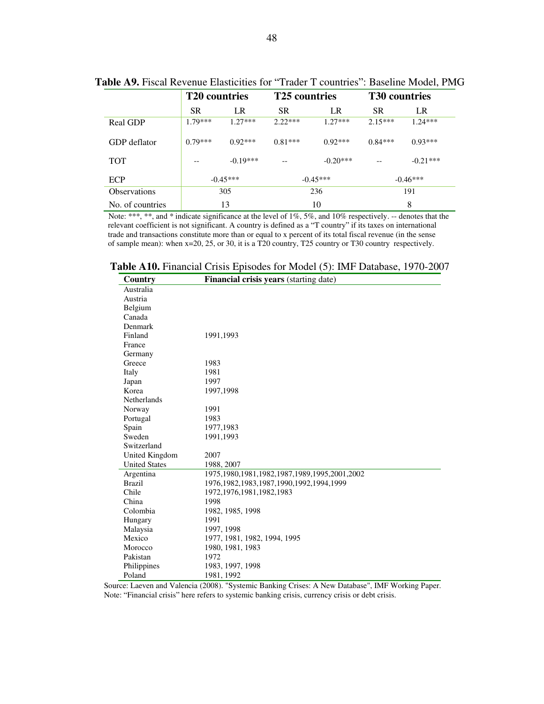|                     | <b>T20</b> countries |            | <b>T25</b> countries |            | <b>T30</b> countries |            |
|---------------------|----------------------|------------|----------------------|------------|----------------------|------------|
|                     | <b>SR</b>            | LR         | <b>SR</b>            | LR         | <b>SR</b>            | LR         |
| Real GDP            | $1.79***$            | $1.27***$  | $2.22***$            | $1.27***$  | $2.15***$            | $1.24***$  |
| GDP deflator        | $0.79***$            | $0.92***$  | $0.81***$            | $0.92***$  | $0.84***$            | $0.93***$  |
| <b>TOT</b>          |                      | $-0.19***$ | $-\, -$              | $-0.20***$ | $- -$                | $-0.21***$ |
| <b>ECP</b>          | $-0.45***$           |            | $-0.45***$           |            | $-0.46***$           |            |
| <b>Observations</b> | 305                  |            | 236                  |            | 191                  |            |
| No. of countries    | 13                   |            | 10                   |            | 8                    |            |

#### **Table A9.** Fiscal Revenue Elasticities for "Trader T countries": Baseline Model, PMG

Note: \*\*\*, \*\*, and \* indicate significance at the level of 1%, 5%, and 10% respectively. -- denotes that the relevant coefficient is not significant. A country is defined as a "T country" if its taxes on international trade and transactions constitute more than or equal to x percent of its total fiscal revenue (in the sense of sample mean): when x=20, 25, or 30, it is a T20 country, T25 country or T30 country respectively.

| <b>Table A10.</b> Financial Crisis Episodes for Model (5): IMF Database, 1970-2007 |  |  |  |  |  |  |  |  |  |  |  |
|------------------------------------------------------------------------------------|--|--|--|--|--|--|--|--|--|--|--|
|------------------------------------------------------------------------------------|--|--|--|--|--|--|--|--|--|--|--|

| Country              | Financial crisis years (starting date)               |
|----------------------|------------------------------------------------------|
| Australia            |                                                      |
| Austria              |                                                      |
| Belgium              |                                                      |
| Canada               |                                                      |
| Denmark              |                                                      |
| Finland              | 1991,1993                                            |
| France               |                                                      |
| Germany              |                                                      |
| Greece               | 1983                                                 |
| Italy                | 1981                                                 |
| Japan                | 1997                                                 |
| Korea                | 1997,1998                                            |
| <b>Netherlands</b>   |                                                      |
| Norway               | 1991                                                 |
| Portugal             | 1983                                                 |
| Spain                | 1977, 1983                                           |
| Sweden               | 1991,1993                                            |
| Switzerland          |                                                      |
| United Kingdom       | 2007                                                 |
| <b>United States</b> | 1988, 2007                                           |
| Argentina            | 1975, 1980, 1981, 1982, 1987, 1989, 1995, 2001, 2002 |
| <b>Brazil</b>        | 1976, 1982, 1983, 1987, 1990, 1992, 1994, 1999       |
| Chile                | 1972, 1976, 1981, 1982, 1983                         |
| China                | 1998                                                 |
| Colombia             | 1982, 1985, 1998                                     |
| Hungary              | 1991                                                 |
| Malaysia             | 1997, 1998                                           |
| Mexico               | 1977, 1981, 1982, 1994, 1995                         |
| Morocco              | 1980, 1981, 1983                                     |
| Pakistan             | 1972                                                 |
| Philippines          | 1983, 1997, 1998                                     |
| Poland               | 1981, 1992                                           |

 Source: Laeven and Valencia (2008). "Systemic Banking Crises: A New Database", IMF Working Paper. Note: "Financial crisis" here refers to systemic banking crisis, currency crisis or debt crisis.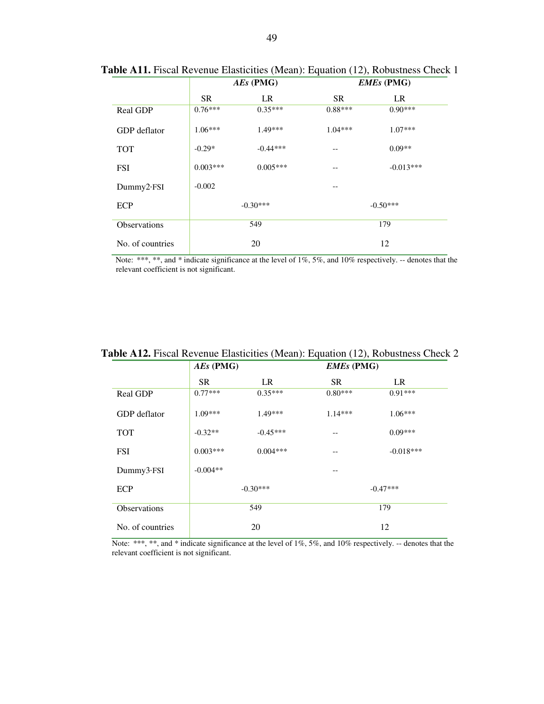|                     |            | $AEs$ (PMG) | <b>EMEs</b> (PMG) |             |  |
|---------------------|------------|-------------|-------------------|-------------|--|
|                     | <b>SR</b>  | LR          | <b>SR</b>         | LR          |  |
| Real GDP            | $0.76***$  | $0.35***$   | $0.88***$         | $0.90***$   |  |
| GDP deflator        | $1.06***$  | $1.49***$   | $1.04***$         | $1.07***$   |  |
| <b>TOT</b>          | $-0.29*$   | $-0.44***$  | $- -$             | $0.09**$    |  |
| <b>FSI</b>          | $0.003***$ | $0.005***$  | $- -$             | $-0.013***$ |  |
| Dummy2·FSI          | $-0.002$   |             | --                |             |  |
| ECP                 |            | $-0.30***$  | $-0.50***$        |             |  |
| <b>Observations</b> |            | 549         | 179               |             |  |
| No. of countries    |            | 20          | 12                |             |  |

**Table A11.** Fiscal Revenue Elasticities (Mean): Equation (12), Robustness Check 1

|                  | $AEs$ (PMG) |            | <b>EMEs</b> (PMG) |             |  |
|------------------|-------------|------------|-------------------|-------------|--|
|                  | <b>SR</b>   | LR         | <b>SR</b>         | LR          |  |
| Real GDP         | $0.77***$   | $0.35***$  | $0.80***$         | $0.91***$   |  |
| GDP deflator     | $1.09***$   | $1.49***$  | $1.14***$         | $1.06***$   |  |
| <b>TOT</b>       | $-0.32**$   | $-0.45***$ | --                | $0.09***$   |  |
| <b>FSI</b>       | $0.003***$  | $0.004***$ | --                | $-0.018***$ |  |
| Dummy3.FSI       | $-0.004**$  |            | --                |             |  |
| ECP              |             | $-0.30***$ | $-0.47***$        |             |  |
| Observations     |             | 549        | 179               |             |  |
| No. of countries |             | 20         | 12                |             |  |

**Table A12.** Fiscal Revenue Elasticities (Mean): Equation (12), Robustness Check 2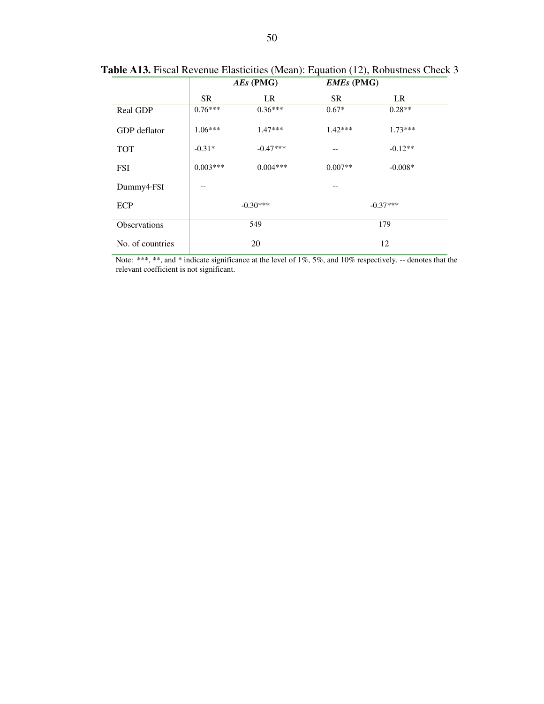|                     | $AEs$ (PMG) |            | <b>EMEs</b> (PMG) |           |  |
|---------------------|-------------|------------|-------------------|-----------|--|
|                     | <b>SR</b>   | LR         | <b>SR</b>         | LR        |  |
| <b>Real GDP</b>     | $0.76***$   | $0.36***$  | $0.67*$           | $0.28**$  |  |
| GDP deflator        | $1.06***$   | $1.47***$  | $1.42***$         | $1.73***$ |  |
| <b>TOT</b>          | $-0.31*$    | $-0.47***$ | --                | $-0.12**$ |  |
| <b>FSI</b>          | $0.003***$  | $0.004***$ | $0.007**$         | $-0.008*$ |  |
| Dummy4·FSI          |             |            |                   |           |  |
| <b>ECP</b>          |             | $-0.30***$ | $-0.37***$        |           |  |
| <b>Observations</b> |             | 549        | 179               |           |  |
| No. of countries    |             | 20         | 12                |           |  |

**Table A13.** Fiscal Revenue Elasticities (Mean): Equation (12), Robustness Check 3